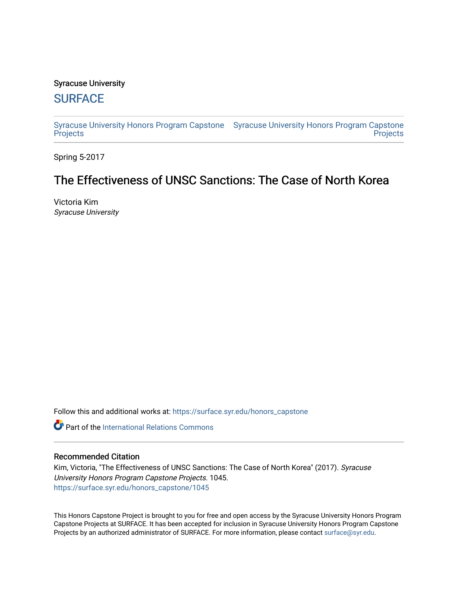# Syracuse University

# **[SURFACE](https://surface.syr.edu/)**

[Syracuse University Honors Program Capstone](https://surface.syr.edu/honors_capstone)  [Syracuse University Honors Program Capstone](https://surface.syr.edu/honors_capstones)  **[Projects](https://surface.syr.edu/honors_capstone) Projects** 

Spring 5-2017

# The Effectiveness of UNSC Sanctions: The Case of North Korea

Victoria Kim Syracuse University

Follow this and additional works at: [https://surface.syr.edu/honors\\_capstone](https://surface.syr.edu/honors_capstone?utm_source=surface.syr.edu%2Fhonors_capstone%2F1045&utm_medium=PDF&utm_campaign=PDFCoverPages) 

Part of the [International Relations Commons](http://network.bepress.com/hgg/discipline/389?utm_source=surface.syr.edu%2Fhonors_capstone%2F1045&utm_medium=PDF&utm_campaign=PDFCoverPages) 

# Recommended Citation

Kim, Victoria, "The Effectiveness of UNSC Sanctions: The Case of North Korea" (2017). Syracuse University Honors Program Capstone Projects. 1045. [https://surface.syr.edu/honors\\_capstone/1045](https://surface.syr.edu/honors_capstone/1045?utm_source=surface.syr.edu%2Fhonors_capstone%2F1045&utm_medium=PDF&utm_campaign=PDFCoverPages) 

This Honors Capstone Project is brought to you for free and open access by the Syracuse University Honors Program Capstone Projects at SURFACE. It has been accepted for inclusion in Syracuse University Honors Program Capstone Projects by an authorized administrator of SURFACE. For more information, please contact [surface@syr.edu.](mailto:surface@syr.edu)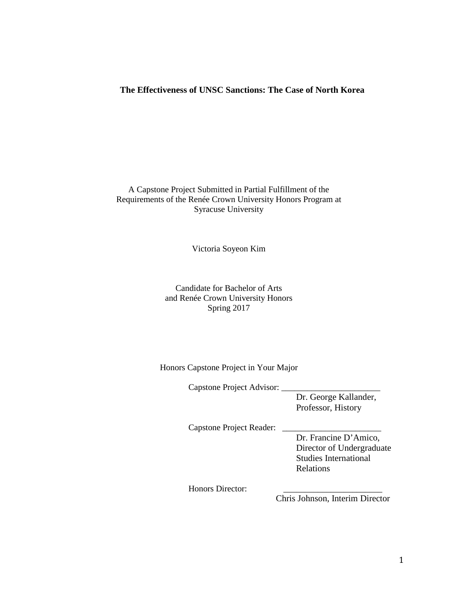# **The Effectiveness of UNSC Sanctions: The Case of North Korea**

### A Capstone Project Submitted in Partial Fulfillment of the Requirements of the Renée Crown University Honors Program at Syracuse University

Victoria Soyeon Kim

# Candidate for Bachelor of Arts and Renée Crown University Honors Spring 2017

#### Honors Capstone Project in Your Major

Capstone Project Advisor: \_

Dr. George Kallander, Professor, History

Capstone Project Reader: \_\_\_\_\_\_\_\_\_\_\_\_\_\_\_\_\_\_\_\_\_\_\_

Dr. Francine D'Amico, Director of Undergraduate Studies International Relations

Honors Director:

Chris Johnson, Interim Director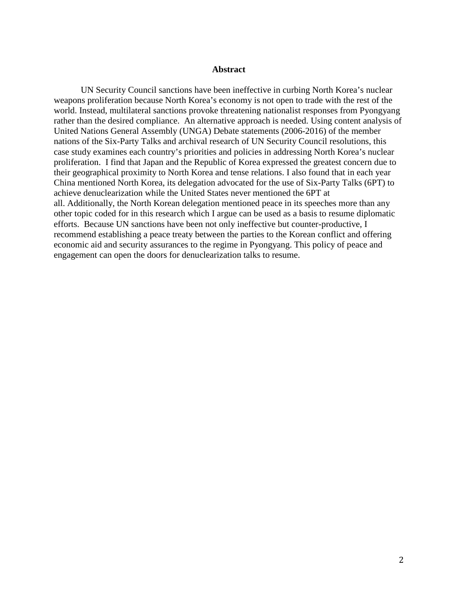#### **Abstract**

UN Security Council sanctions have been ineffective in curbing North Korea's nuclear weapons proliferation because North Korea's economy is not open to trade with the rest of the world. Instead, multilateral sanctions provoke threatening nationalist responses from Pyongyang rather than the desired compliance. An alternative approach is needed. Using content analysis of United Nations General Assembly (UNGA) Debate statements (2006-2016) of the member nations of the Six-Party Talks and archival research of UN Security Council resolutions, this case study examines each country's priorities and policies in addressing North Korea's nuclear proliferation. I find that Japan and the Republic of Korea expressed the greatest concern due to their geographical proximity to North Korea and tense relations. I also found that in each year China mentioned North Korea, its delegation advocated for the use of Six-Party Talks (6PT) to achieve denuclearization while the United States never mentioned the 6PT at all. Additionally, the North Korean delegation mentioned peace in its speeches more than any other topic coded for in this research which I argue can be used as a basis to resume diplomatic efforts. Because UN sanctions have been not only ineffective but counter-productive, I recommend establishing a peace treaty between the parties to the Korean conflict and offering economic aid and security assurances to the regime in Pyongyang. This policy of peace and engagement can open the doors for denuclearization talks to resume.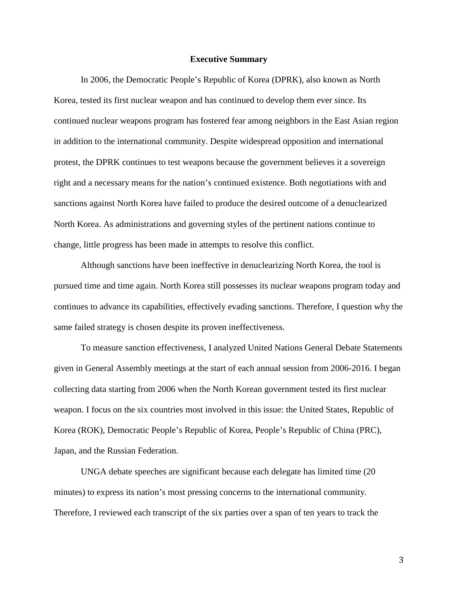#### **Executive Summary**

In 2006, the Democratic People's Republic of Korea (DPRK), also known as North Korea, tested its first nuclear weapon and has continued to develop them ever since. Its continued nuclear weapons program has fostered fear among neighbors in the East Asian region in addition to the international community. Despite widespread opposition and international protest, the DPRK continues to test weapons because the government believes it a sovereign right and a necessary means for the nation's continued existence. Both negotiations with and sanctions against North Korea have failed to produce the desired outcome of a denuclearized North Korea. As administrations and governing styles of the pertinent nations continue to change, little progress has been made in attempts to resolve this conflict.

Although sanctions have been ineffective in denuclearizing North Korea, the tool is pursued time and time again. North Korea still possesses its nuclear weapons program today and continues to advance its capabilities, effectively evading sanctions. Therefore, I question why the same failed strategy is chosen despite its proven ineffectiveness.

To measure sanction effectiveness, I analyzed United Nations General Debate Statements given in General Assembly meetings at the start of each annual session from 2006-2016. I began collecting data starting from 2006 when the North Korean government tested its first nuclear weapon. I focus on the six countries most involved in this issue: the United States, Republic of Korea (ROK), Democratic People's Republic of Korea, People's Republic of China (PRC), Japan, and the Russian Federation.

UNGA debate speeches are significant because each delegate has limited time (20 minutes) to express its nation's most pressing concerns to the international community. Therefore, I reviewed each transcript of the six parties over a span of ten years to track the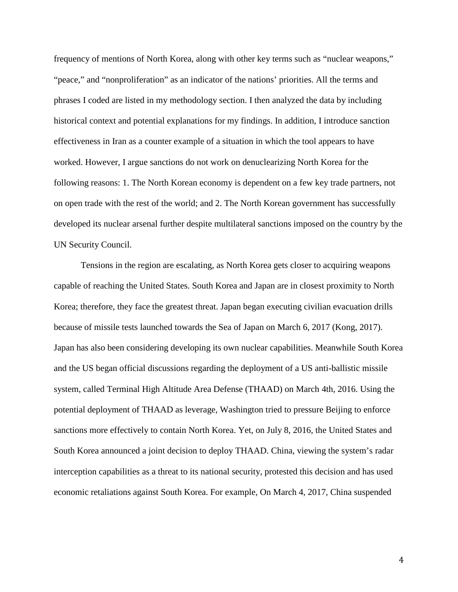frequency of mentions of North Korea, along with other key terms such as "nuclear weapons," "peace," and "nonproliferation" as an indicator of the nations' priorities. All the terms and phrases I coded are listed in my methodology section. I then analyzed the data by including historical context and potential explanations for my findings. In addition, I introduce sanction effectiveness in Iran as a counter example of a situation in which the tool appears to have worked. However, I argue sanctions do not work on denuclearizing North Korea for the following reasons: 1. The North Korean economy is dependent on a few key trade partners, not on open trade with the rest of the world; and 2. The North Korean government has successfully developed its nuclear arsenal further despite multilateral sanctions imposed on the country by the UN Security Council.

Tensions in the region are escalating, as North Korea gets closer to acquiring weapons capable of reaching the United States. South Korea and Japan are in closest proximity to North Korea; therefore, they face the greatest threat. Japan began executing civilian evacuation drills because of missile tests launched towards the Sea of Japan on March 6, 2017 (Kong, 2017). Japan has also been considering developing its own nuclear capabilities. Meanwhile South Korea and the US began official discussions regarding the deployment of a US anti-ballistic missile system, called Terminal High Altitude Area Defense (THAAD) on March 4th, 2016. Using the potential deployment of THAAD as leverage, Washington tried to pressure Beijing to enforce sanctions more effectively to contain North Korea. Yet, on July 8, 2016, the United States and South Korea announced a joint decision to deploy THAAD. China, viewing the system's radar interception capabilities as a threat to its national security, protested this decision and has used economic retaliations against South Korea. For example, On March 4, 2017, China suspended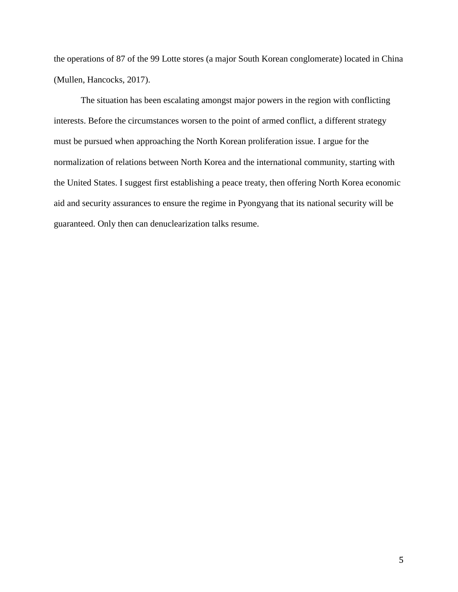the operations of 87 of the 99 Lotte stores (a major South Korean conglomerate) located in China (Mullen, Hancocks, 2017).

The situation has been escalating amongst major powers in the region with conflicting interests. Before the circumstances worsen to the point of armed conflict, a different strategy must be pursued when approaching the North Korean proliferation issue. I argue for the normalization of relations between North Korea and the international community, starting with the United States. I suggest first establishing a peace treaty, then offering North Korea economic aid and security assurances to ensure the regime in Pyongyang that its national security will be guaranteed. Only then can denuclearization talks resume.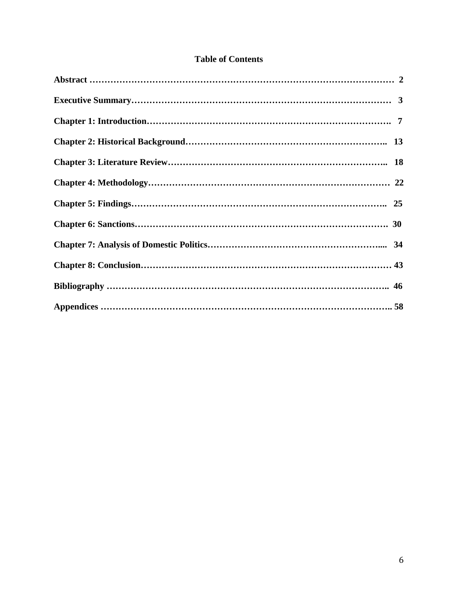# **Table of Contents**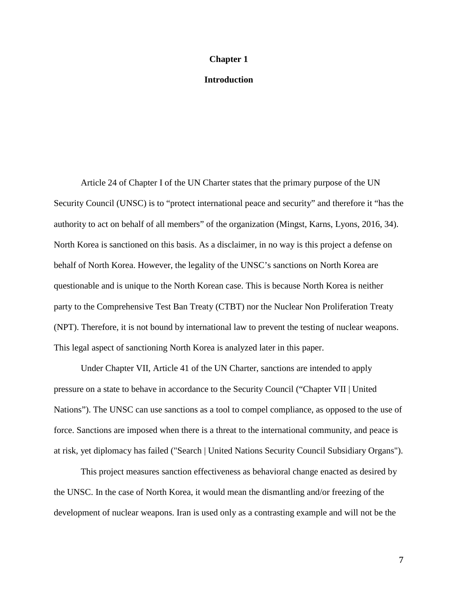#### **Chapter 1**

## **Introduction**

Article 24 of Chapter I of the UN Charter states that the primary purpose of the UN Security Council (UNSC) is to "protect international peace and security" and therefore it "has the authority to act on behalf of all members" of the organization (Mingst, Karns, Lyons, 2016, 34). North Korea is sanctioned on this basis. As a disclaimer, in no way is this project a defense on behalf of North Korea. However, the legality of the UNSC's sanctions on North Korea are questionable and is unique to the North Korean case. This is because North Korea is neither party to the Comprehensive Test Ban Treaty (CTBT) nor the Nuclear Non Proliferation Treaty (NPT). Therefore, it is not bound by international law to prevent the testing of nuclear weapons. This legal aspect of sanctioning North Korea is analyzed later in this paper.

Under Chapter VII, Article 41 of the UN Charter, sanctions are intended to apply pressure on a state to behave in accordance to the Security Council ("Chapter VII | United Nations"). The UNSC can use sanctions as a tool to compel compliance, as opposed to the use of force. Sanctions are imposed when there is a threat to the international community, and peace is at risk, yet diplomacy has failed ("Search | United Nations Security Council Subsidiary Organs").

This project measures sanction effectiveness as behavioral change enacted as desired by the UNSC. In the case of North Korea, it would mean the dismantling and/or freezing of the development of nuclear weapons. Iran is used only as a contrasting example and will not be the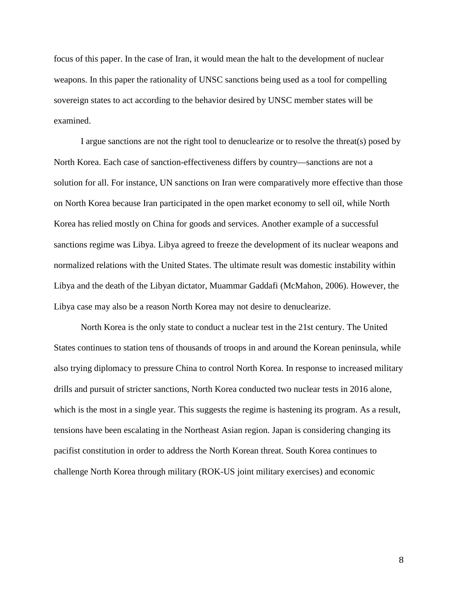focus of this paper. In the case of Iran, it would mean the halt to the development of nuclear weapons. In this paper the rationality of UNSC sanctions being used as a tool for compelling sovereign states to act according to the behavior desired by UNSC member states will be examined.

I argue sanctions are not the right tool to denuclearize or to resolve the threat(s) posed by North Korea. Each case of sanction-effectiveness differs by country—sanctions are not a solution for all. For instance, UN sanctions on Iran were comparatively more effective than those on North Korea because Iran participated in the open market economy to sell oil, while North Korea has relied mostly on China for goods and services. Another example of a successful sanctions regime was Libya. Libya agreed to freeze the development of its nuclear weapons and normalized relations with the United States. The ultimate result was domestic instability within Libya and the death of the Libyan dictator, Muammar Gaddafi (McMahon, 2006). However, the Libya case may also be a reason North Korea may not desire to denuclearize.

North Korea is the only state to conduct a nuclear test in the 21st century. The United States continues to station tens of thousands of troops in and around the Korean peninsula, while also trying diplomacy to pressure China to control North Korea. In response to increased military drills and pursuit of stricter sanctions, North Korea conducted two nuclear tests in 2016 alone, which is the most in a single year. This suggests the regime is hastening its program. As a result, tensions have been escalating in the Northeast Asian region. Japan is considering changing its pacifist constitution in order to address the North Korean threat. South Korea continues to challenge North Korea through military (ROK-US joint military exercises) and economic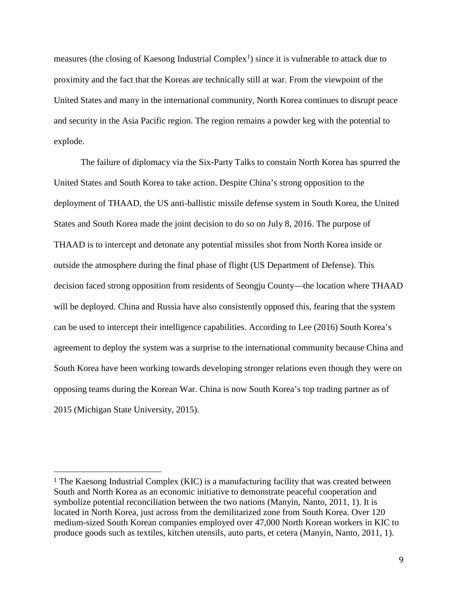measures (the closing of Kaesong Industrial Complex<sup>[1](#page-9-0)</sup>) since it is vulnerable to attack due to proximity and the fact that the Koreas are technically still at war. From the viewpoint of the United States and many in the international community, North Korea continues to disrupt peace and security in the Asia Pacific region. The region remains a powder keg with the potential to explode.

The failure of diplomacy via the Six-Party Talks to constain North Korea has spurred the United States and South Korea to take action. Despite China's strong opposition to the deployment of THAAD, the US anti-ballistic missile defense system in South Korea, the United States and South Korea made the joint decision to do so on July 8, 2016. The purpose of THAAD is to intercept and detonate any potential missiles shot from North Korea inside or outside the atmosphere during the final phase of flight (US Department of Defense). This decision faced strong opposition from residents of Seongju County—the location where THAAD will be deployed. China and Russia have also consistently opposed this, fearing that the system can be used to intercept their intelligence capabilities. According to Lee (2016) South Korea's agreement to deploy the system was a surprise to the international community because China and South Korea have been working towards developing stronger relations even though they were on opposing teams during the Korean War. China is now South Korea's top trading partner as of 2015 (Michigan State University, 2015).

 $\overline{a}$ 

<span id="page-9-0"></span><sup>1</sup> The Kaesong Industrial Complex (KIC) is a manufacturing facility that was created between South and North Korea as an economic initiative to demonstrate peaceful cooperation and symbolize potential reconciliation between the two nations (Manyin, Nanto, 2011, 1). It is located in North Korea, just across from the demilitarized zone from South Korea. Over 120 medium-sized South Korean companies employed over 47,000 North Korean workers in KIC to produce goods such as textiles, kitchen utensils, auto parts, et cetera (Manyin, Nanto, 2011, 1).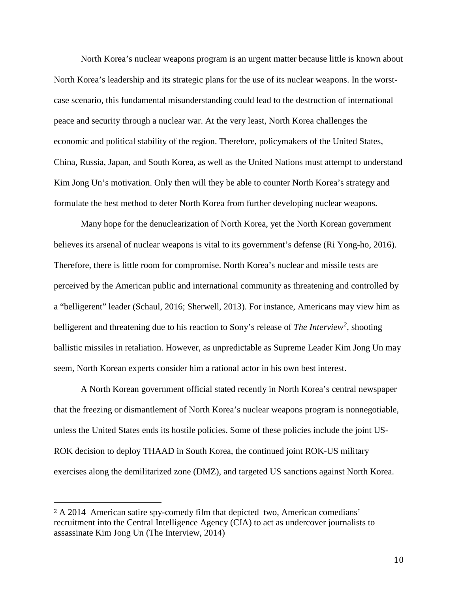North Korea's nuclear weapons program is an urgent matter because little is known about North Korea's leadership and its strategic plans for the use of its nuclear weapons. In the worstcase scenario, this fundamental misunderstanding could lead to the destruction of international peace and security through a nuclear war. At the very least, North Korea challenges the economic and political stability of the region. Therefore, policymakers of the United States, China, Russia, Japan, and South Korea, as well as the United Nations must attempt to understand Kim Jong Un's motivation. Only then will they be able to counter North Korea's strategy and formulate the best method to deter North Korea from further developing nuclear weapons.

Many hope for the denuclearization of North Korea, yet the North Korean government believes its arsenal of nuclear weapons is vital to its government's defense (Ri Yong-ho, 2016). Therefore, there is little room for compromise. North Korea's nuclear and missile tests are perceived by the American public and international community as threatening and controlled by a "belligerent" leader (Schaul, 2016; Sherwell, 2013). For instance, Americans may view him as belligerent and threatening due to his reaction to Sony's release of *The Interview[2](#page-10-0)* , shooting ballistic missiles in retaliation. However, as unpredictable as Supreme Leader Kim Jong Un may seem, North Korean experts consider him a rational actor in his own best interest.

A North Korean government official stated recently in North Korea's central newspaper that the freezing or dismantlement of North Korea's nuclear weapons program is nonnegotiable, unless the United States ends its hostile policies. Some of these policies include the joint US-ROK decision to deploy THAAD in South Korea, the continued joint ROK-US military exercises along the demilitarized zone (DMZ), and targeted US sanctions against North Korea.

 $\overline{a}$ 

<span id="page-10-0"></span><sup>2</sup> A 2014 American satire spy-comedy film that depicted two, American comedians' recruitment into the Central Intelligence Agency (CIA) to act as undercover journalists to assassinate Kim Jong Un (The Interview, 2014)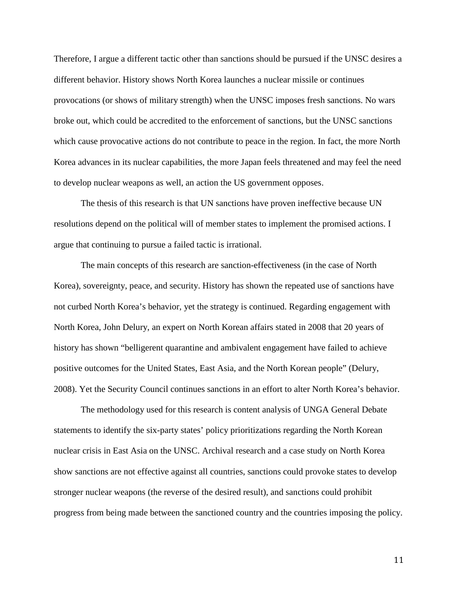Therefore, I argue a different tactic other than sanctions should be pursued if the UNSC desires a different behavior. History shows North Korea launches a nuclear missile or continues provocations (or shows of military strength) when the UNSC imposes fresh sanctions. No wars broke out, which could be accredited to the enforcement of sanctions, but the UNSC sanctions which cause provocative actions do not contribute to peace in the region. In fact, the more North Korea advances in its nuclear capabilities, the more Japan feels threatened and may feel the need to develop nuclear weapons as well, an action the US government opposes.

The thesis of this research is that UN sanctions have proven ineffective because UN resolutions depend on the political will of member states to implement the promised actions. I argue that continuing to pursue a failed tactic is irrational.

The main concepts of this research are sanction-effectiveness (in the case of North Korea), sovereignty, peace, and security. History has shown the repeated use of sanctions have not curbed North Korea's behavior, yet the strategy is continued. Regarding engagement with North Korea, John Delury, an expert on North Korean affairs stated in 2008 that 20 years of history has shown "belligerent quarantine and ambivalent engagement have failed to achieve positive outcomes for the United States, East Asia, and the North Korean people" (Delury, 2008). Yet the Security Council continues sanctions in an effort to alter North Korea's behavior.

The methodology used for this research is content analysis of UNGA General Debate statements to identify the six-party states' policy prioritizations regarding the North Korean nuclear crisis in East Asia on the UNSC. Archival research and a case study on North Korea show sanctions are not effective against all countries, sanctions could provoke states to develop stronger nuclear weapons (the reverse of the desired result), and sanctions could prohibit progress from being made between the sanctioned country and the countries imposing the policy.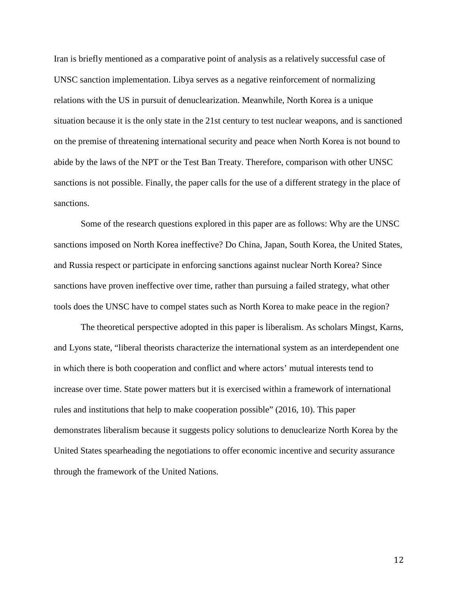Iran is briefly mentioned as a comparative point of analysis as a relatively successful case of UNSC sanction implementation. Libya serves as a negative reinforcement of normalizing relations with the US in pursuit of denuclearization. Meanwhile, North Korea is a unique situation because it is the only state in the 21st century to test nuclear weapons, and is sanctioned on the premise of threatening international security and peace when North Korea is not bound to abide by the laws of the NPT or the Test Ban Treaty. Therefore, comparison with other UNSC sanctions is not possible. Finally, the paper calls for the use of a different strategy in the place of sanctions.

Some of the research questions explored in this paper are as follows: Why are the UNSC sanctions imposed on North Korea ineffective? Do China, Japan, South Korea, the United States, and Russia respect or participate in enforcing sanctions against nuclear North Korea? Since sanctions have proven ineffective over time, rather than pursuing a failed strategy, what other tools does the UNSC have to compel states such as North Korea to make peace in the region?

The theoretical perspective adopted in this paper is liberalism. As scholars Mingst, Karns, and Lyons state, "liberal theorists characterize the international system as an interdependent one in which there is both cooperation and conflict and where actors' mutual interests tend to increase over time. State power matters but it is exercised within a framework of international rules and institutions that help to make cooperation possible" (2016, 10). This paper demonstrates liberalism because it suggests policy solutions to denuclearize North Korea by the United States spearheading the negotiations to offer economic incentive and security assurance through the framework of the United Nations.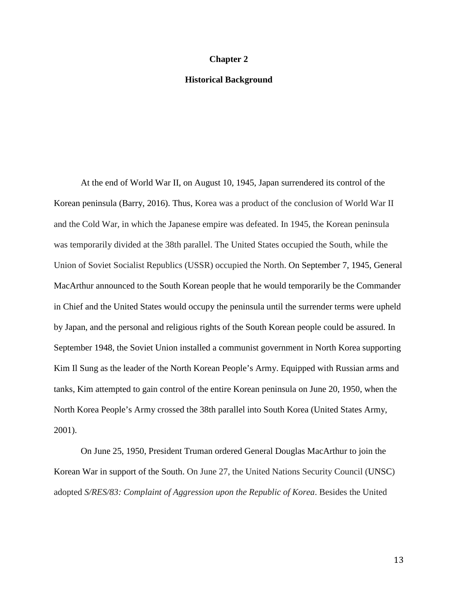#### **Chapter 2**

#### **Historical Background**

At the end of World War II, on August 10, 1945, Japan surrendered its control of the Korean peninsula (Barry, 2016). Thus, Korea was a product of the conclusion of World War II and the Cold War, in which the Japanese empire was defeated. In 1945, the Korean peninsula was temporarily divided at the 38th parallel. The United States occupied the South, while the Union of Soviet Socialist Republics (USSR) occupied the North. On September 7, 1945, General MacArthur announced to the South Korean people that he would temporarily be the Commander in Chief and the United States would occupy the peninsula until the surrender terms were upheld by Japan, and the personal and religious rights of the South Korean people could be assured. In September 1948, the Soviet Union installed a communist government in North Korea supporting Kim Il Sung as the leader of the North Korean People's Army. Equipped with Russian arms and tanks, Kim attempted to gain control of the entire Korean peninsula on June 20, 1950, when the North Korea People's Army crossed the 38th parallel into South Korea (United States Army, 2001).

On June 25, 1950, President Truman ordered General Douglas MacArthur to join the Korean War in support of the South. On June 27, the United Nations Security Council (UNSC) adopted *S/RES/83: Complaint of Aggression upon the Republic of Korea*. Besides the United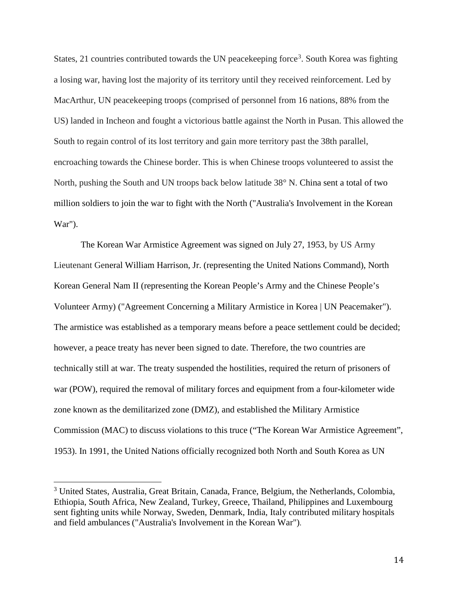States, 21 countries contributed towards the UN peacekeeping force<sup>[3](#page-14-0)</sup>. South Korea was fighting a losing war, having lost the majority of its territory until they received reinforcement. Led by MacArthur, UN peacekeeping troops (comprised of personnel from 16 nations, 88% from the US) landed in Incheon and fought a victorious battle against the North in Pusan. This allowed the South to regain control of its lost territory and gain more territory past the 38th parallel, encroaching towards the Chinese border. This is when Chinese troops volunteered to assist the North, pushing the South and UN troops back below latitude 38° N. China sent a total of two million soldiers to join the war to fight with the North ("Australia's Involvement in the Korean War").

The Korean War Armistice Agreement was signed on July 27, 1953, by US Army Lieutenant General William Harrison, Jr. (representing the United Nations Command), North Korean General Nam II (representing the Korean People's Army and the Chinese People's Volunteer Army) ("Agreement Concerning a Military Armistice in Korea | UN Peacemaker"). The armistice was established as a temporary means before a peace settlement could be decided; however, a peace treaty has never been signed to date. Therefore, the two countries are technically still at war. The treaty suspended the hostilities, required the return of prisoners of war (POW), required the removal of military forces and equipment from a four-kilometer wide zone known as the demilitarized zone (DMZ), and established the Military Armistice Commission (MAC) to discuss violations to this truce ("The Korean War Armistice Agreement", 1953). In 1991, the United Nations officially recognized both North and South Korea as UN

<span id="page-14-0"></span><sup>&</sup>lt;sup>3</sup> United States, Australia, Great Britain, Canada, France, Belgium, the Netherlands, Colombia, Ethiopia, South Africa, New Zealand, Turkey, Greece, Thailand, Philippines and Luxembourg sent fighting units while Norway, Sweden, Denmark, India, Italy contributed military hospitals and field ambulances ("Australia's Involvement in the Korean War").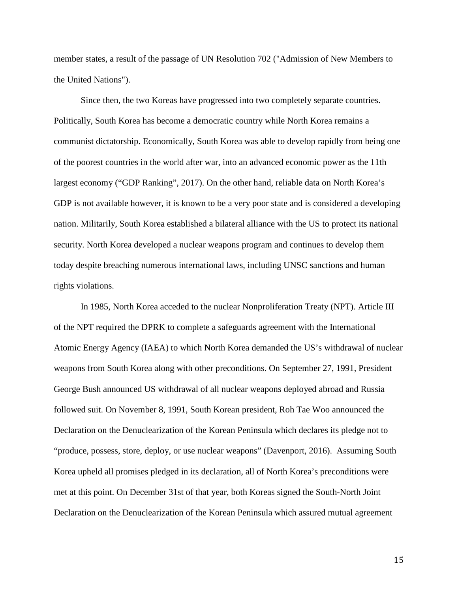member states, a result of the passage of UN Resolution 702 ("Admission of New Members to the United Nations").

Since then, the two Koreas have progressed into two completely separate countries. Politically, South Korea has become a democratic country while North Korea remains a communist dictatorship. Economically, South Korea was able to develop rapidly from being one of the poorest countries in the world after war, into an advanced economic power as the 11th largest economy ("GDP Ranking", 2017). On the other hand, reliable data on North Korea's GDP is not available however, it is known to be a very poor state and is considered a developing nation. Militarily, South Korea established a bilateral alliance with the US to protect its national security. North Korea developed a nuclear weapons program and continues to develop them today despite breaching numerous international laws, including UNSC sanctions and human rights violations.

In 1985, North Korea acceded to the nuclear Nonproliferation Treaty (NPT). Article III of the NPT required the DPRK to complete a safeguards agreement with the International Atomic Energy Agency (IAEA) to which North Korea demanded the US's withdrawal of nuclear weapons from South Korea along with other preconditions. On September 27, 1991, President George Bush announced US withdrawal of all nuclear weapons deployed abroad and Russia followed suit. On November 8, 1991, South Korean president, Roh Tae Woo announced the Declaration on the Denuclearization of the Korean Peninsula which declares its pledge not to "produce, possess, store, deploy, or use nuclear weapons" (Davenport, 2016). Assuming South Korea upheld all promises pledged in its declaration, all of North Korea's preconditions were met at this point. On December 31st of that year, both Koreas signed the South-North Joint Declaration on the Denuclearization of the Korean Peninsula which assured mutual agreement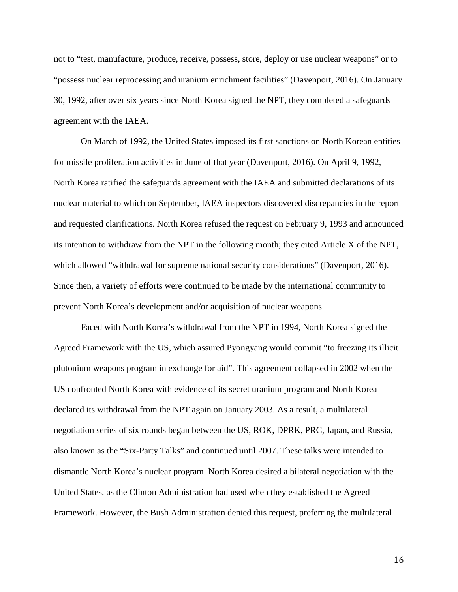not to "test, manufacture, produce, receive, possess, store, deploy or use nuclear weapons" or to "possess nuclear reprocessing and uranium enrichment facilities" (Davenport, 2016). On January 30, 1992, after over six years since North Korea signed the NPT, they completed a safeguards agreement with the IAEA.

On March of 1992, the United States imposed its first sanctions on North Korean entities for missile proliferation activities in June of that year (Davenport, 2016). On April 9, 1992, North Korea ratified the safeguards agreement with the IAEA and submitted declarations of its nuclear material to which on September, IAEA inspectors discovered discrepancies in the report and requested clarifications. North Korea refused the request on February 9, 1993 and announced its intention to withdraw from the NPT in the following month; they cited Article X of the NPT, which allowed "withdrawal for supreme national security considerations" (Davenport, 2016). Since then, a variety of efforts were continued to be made by the international community to prevent North Korea's development and/or acquisition of nuclear weapons.

Faced with North Korea's withdrawal from the NPT in 1994, North Korea signed the Agreed Framework with the US, which assured Pyongyang would commit "to freezing its illicit plutonium weapons program in exchange for aid". This agreement collapsed in 2002 when the US confronted North Korea with evidence of its secret uranium program and North Korea declared its withdrawal from the NPT again on January 2003. As a result, a multilateral negotiation series of six rounds began between the US, ROK, DPRK, PRC, Japan, and Russia, also known as the "Six-Party Talks" and continued until 2007. These talks were intended to dismantle North Korea's nuclear program. North Korea desired a bilateral negotiation with the United States, as the Clinton Administration had used when they established the Agreed Framework. However, the Bush Administration denied this request, preferring the multilateral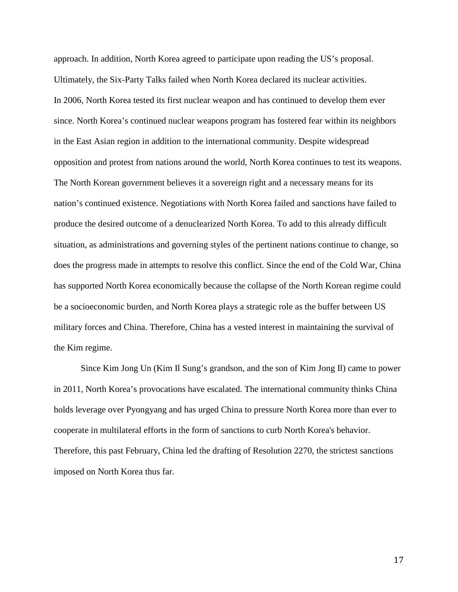approach. In addition, North Korea agreed to participate upon reading the US's proposal. Ultimately, the Six-Party Talks failed when North Korea declared its nuclear activities. In 2006, North Korea tested its first nuclear weapon and has continued to develop them ever since. North Korea's continued nuclear weapons program has fostered fear within its neighbors in the East Asian region in addition to the international community. Despite widespread opposition and protest from nations around the world, North Korea continues to test its weapons. The North Korean government believes it a sovereign right and a necessary means for its nation's continued existence. Negotiations with North Korea failed and sanctions have failed to produce the desired outcome of a denuclearized North Korea. To add to this already difficult situation, as administrations and governing styles of the pertinent nations continue to change, so does the progress made in attempts to resolve this conflict. Since the end of the Cold War, China has supported North Korea economically because the collapse of the North Korean regime could be a socioeconomic burden, and North Korea plays a strategic role as the buffer between US military forces and China. Therefore, China has a vested interest in maintaining the survival of the Kim regime.

Since Kim Jong Un (Kim Il Sung's grandson, and the son of Kim Jong Il) came to power in 2011, North Korea's provocations have escalated. The international community thinks China holds leverage over Pyongyang and has urged China to pressure North Korea more than ever to cooperate in multilateral efforts in the form of sanctions to curb North Korea's behavior. Therefore, this past February, China led the drafting of Resolution 2270, the strictest sanctions imposed on North Korea thus far.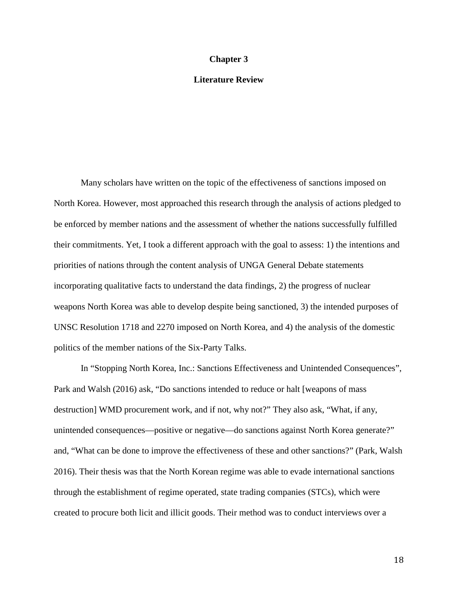#### **Chapter 3**

### **Literature Review**

Many scholars have written on the topic of the effectiveness of sanctions imposed on North Korea. However, most approached this research through the analysis of actions pledged to be enforced by member nations and the assessment of whether the nations successfully fulfilled their commitments. Yet, I took a different approach with the goal to assess: 1) the intentions and priorities of nations through the content analysis of UNGA General Debate statements incorporating qualitative facts to understand the data findings, 2) the progress of nuclear weapons North Korea was able to develop despite being sanctioned, 3) the intended purposes of UNSC Resolution 1718 and 2270 imposed on North Korea, and 4) the analysis of the domestic politics of the member nations of the Six-Party Talks.

In "Stopping North Korea, Inc.: Sanctions Effectiveness and Unintended Consequences", Park and Walsh (2016) ask, "Do sanctions intended to reduce or halt [weapons of mass destruction] WMD procurement work, and if not, why not?" They also ask, "What, if any, unintended consequences—positive or negative—do sanctions against North Korea generate?" and, "What can be done to improve the effectiveness of these and other sanctions?" (Park, Walsh 2016). Their thesis was that the North Korean regime was able to evade international sanctions through the establishment of regime operated, state trading companies (STCs), which were created to procure both licit and illicit goods. Their method was to conduct interviews over a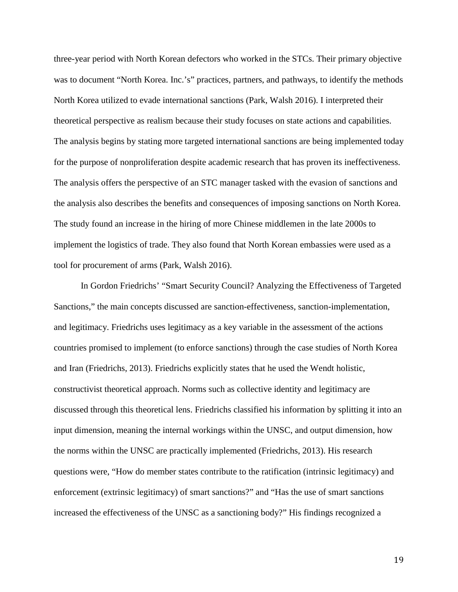three-year period with North Korean defectors who worked in the STCs. Their primary objective was to document "North Korea. Inc.'s" practices, partners, and pathways, to identify the methods North Korea utilized to evade international sanctions (Park, Walsh 2016). I interpreted their theoretical perspective as realism because their study focuses on state actions and capabilities. The analysis begins by stating more targeted international sanctions are being implemented today for the purpose of nonproliferation despite academic research that has proven its ineffectiveness. The analysis offers the perspective of an STC manager tasked with the evasion of sanctions and the analysis also describes the benefits and consequences of imposing sanctions on North Korea. The study found an increase in the hiring of more Chinese middlemen in the late 2000s to implement the logistics of trade. They also found that North Korean embassies were used as a tool for procurement of arms (Park, Walsh 2016).

In Gordon Friedrichs' "Smart Security Council? Analyzing the Effectiveness of Targeted Sanctions," the main concepts discussed are sanction-effectiveness, sanction-implementation, and legitimacy. Friedrichs uses legitimacy as a key variable in the assessment of the actions countries promised to implement (to enforce sanctions) through the case studies of North Korea and Iran (Friedrichs, 2013). Friedrichs explicitly states that he used the Wendt holistic, constructivist theoretical approach. Norms such as collective identity and legitimacy are discussed through this theoretical lens. Friedrichs classified his information by splitting it into an input dimension, meaning the internal workings within the UNSC, and output dimension, how the norms within the UNSC are practically implemented (Friedrichs, 2013). His research questions were, "How do member states contribute to the ratification (intrinsic legitimacy) and enforcement (extrinsic legitimacy) of smart sanctions?" and "Has the use of smart sanctions increased the effectiveness of the UNSC as a sanctioning body?" His findings recognized a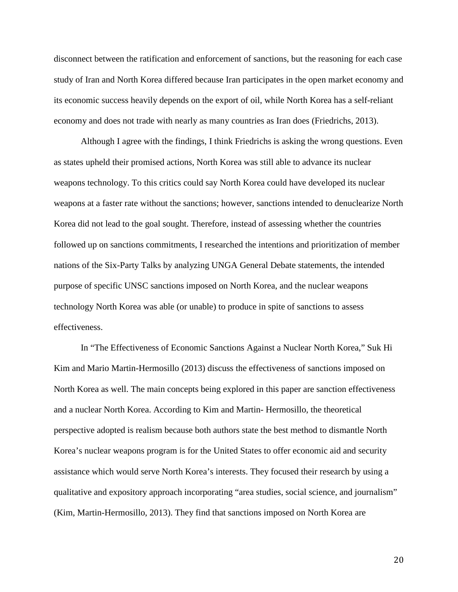disconnect between the ratification and enforcement of sanctions, but the reasoning for each case study of Iran and North Korea differed because Iran participates in the open market economy and its economic success heavily depends on the export of oil, while North Korea has a self-reliant economy and does not trade with nearly as many countries as Iran does (Friedrichs, 2013).

Although I agree with the findings, I think Friedrichs is asking the wrong questions. Even as states upheld their promised actions, North Korea was still able to advance its nuclear weapons technology. To this critics could say North Korea could have developed its nuclear weapons at a faster rate without the sanctions; however, sanctions intended to denuclearize North Korea did not lead to the goal sought. Therefore, instead of assessing whether the countries followed up on sanctions commitments, I researched the intentions and prioritization of member nations of the Six-Party Talks by analyzing UNGA General Debate statements, the intended purpose of specific UNSC sanctions imposed on North Korea, and the nuclear weapons technology North Korea was able (or unable) to produce in spite of sanctions to assess effectiveness.

In "The Effectiveness of Economic Sanctions Against a Nuclear North Korea," Suk Hi Kim and Mario Martin-Hermosillo (2013) discuss the effectiveness of sanctions imposed on North Korea as well. The main concepts being explored in this paper are sanction effectiveness and a nuclear North Korea. According to Kim and Martin- Hermosillo, the theoretical perspective adopted is realism because both authors state the best method to dismantle North Korea's nuclear weapons program is for the United States to offer economic aid and security assistance which would serve North Korea's interests. They focused their research by using a qualitative and expository approach incorporating "area studies, social science, and journalism" (Kim, Martin-Hermosillo, 2013). They find that sanctions imposed on North Korea are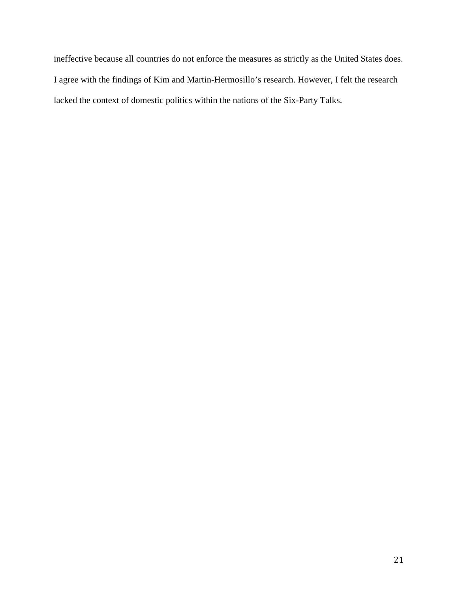ineffective because all countries do not enforce the measures as strictly as the United States does. I agree with the findings of Kim and Martin-Hermosillo's research. However, I felt the research lacked the context of domestic politics within the nations of the Six-Party Talks.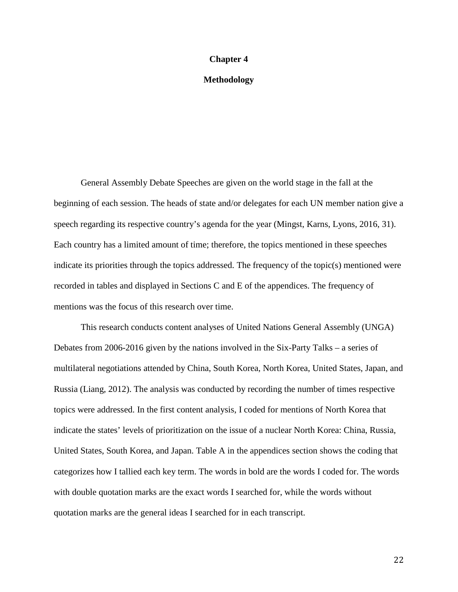#### **Chapter 4**

#### **Methodology**

General Assembly Debate Speeches are given on the world stage in the fall at the beginning of each session. The heads of state and/or delegates for each UN member nation give a speech regarding its respective country's agenda for the year (Mingst, Karns, Lyons, 2016, 31). Each country has a limited amount of time; therefore, the topics mentioned in these speeches indicate its priorities through the topics addressed. The frequency of the topic(s) mentioned were recorded in tables and displayed in Sections C and E of the appendices. The frequency of mentions was the focus of this research over time.

This research conducts content analyses of United Nations General Assembly (UNGA) Debates from 2006-2016 given by the nations involved in the Six-Party Talks – a series of multilateral negotiations attended by China, South Korea, North Korea, United States, Japan, and Russia (Liang, 2012). The analysis was conducted by recording the number of times respective topics were addressed. In the first content analysis, I coded for mentions of North Korea that indicate the states' levels of prioritization on the issue of a nuclear North Korea: China, Russia, United States, South Korea, and Japan. Table A in the appendices section shows the coding that categorizes how I tallied each key term. The words in bold are the words I coded for. The words with double quotation marks are the exact words I searched for, while the words without quotation marks are the general ideas I searched for in each transcript.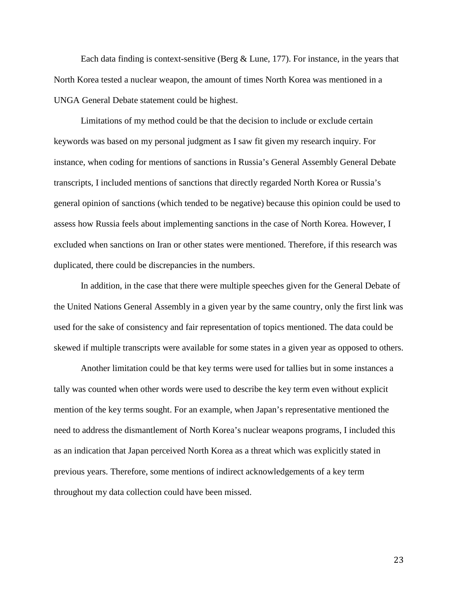Each data finding is context-sensitive (Berg  $&$  Lune, 177). For instance, in the years that North Korea tested a nuclear weapon, the amount of times North Korea was mentioned in a UNGA General Debate statement could be highest.

Limitations of my method could be that the decision to include or exclude certain keywords was based on my personal judgment as I saw fit given my research inquiry. For instance, when coding for mentions of sanctions in Russia's General Assembly General Debate transcripts, I included mentions of sanctions that directly regarded North Korea or Russia's general opinion of sanctions (which tended to be negative) because this opinion could be used to assess how Russia feels about implementing sanctions in the case of North Korea. However, I excluded when sanctions on Iran or other states were mentioned. Therefore, if this research was duplicated, there could be discrepancies in the numbers.

In addition, in the case that there were multiple speeches given for the General Debate of the United Nations General Assembly in a given year by the same country, only the first link was used for the sake of consistency and fair representation of topics mentioned. The data could be skewed if multiple transcripts were available for some states in a given year as opposed to others.

Another limitation could be that key terms were used for tallies but in some instances a tally was counted when other words were used to describe the key term even without explicit mention of the key terms sought. For an example, when Japan's representative mentioned the need to address the dismantlement of North Korea's nuclear weapons programs, I included this as an indication that Japan perceived North Korea as a threat which was explicitly stated in previous years. Therefore, some mentions of indirect acknowledgements of a key term throughout my data collection could have been missed.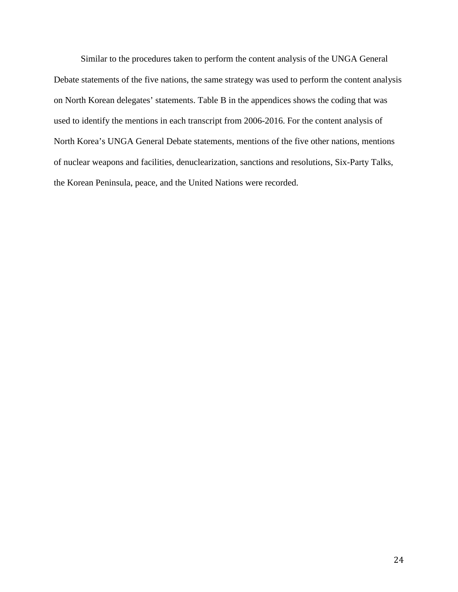Similar to the procedures taken to perform the content analysis of the UNGA General Debate statements of the five nations, the same strategy was used to perform the content analysis on North Korean delegates' statements. Table B in the appendices shows the coding that was used to identify the mentions in each transcript from 2006-2016. For the content analysis of North Korea's UNGA General Debate statements, mentions of the five other nations, mentions of nuclear weapons and facilities, denuclearization, sanctions and resolutions, Six-Party Talks, the Korean Peninsula, peace, and the United Nations were recorded.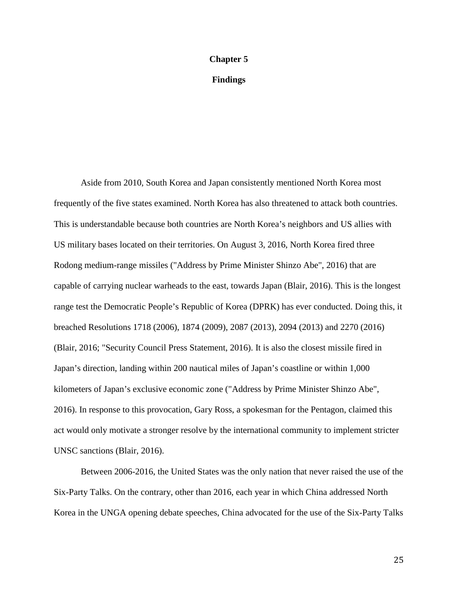#### **Chapter 5**

#### **Findings**

Aside from 2010, South Korea and Japan consistently mentioned North Korea most frequently of the five states examined. North Korea has also threatened to attack both countries. This is understandable because both countries are North Korea's neighbors and US allies with US military bases located on their territories. On August 3, 2016, North Korea fired three Rodong medium-range missiles ("Address by Prime Minister Shinzo Abe", 2016) that are capable of carrying nuclear warheads to the east, towards Japan (Blair, 2016). This is the longest range test the Democratic People's Republic of Korea (DPRK) has ever conducted. Doing this, it breached Resolutions 1718 (2006), 1874 (2009), 2087 (2013), 2094 (2013) and 2270 (2016) (Blair, 2016; "Security Council Press Statement, 2016). It is also the closest missile fired in Japan's direction, landing within 200 nautical miles of Japan's coastline or within 1,000 kilometers of Japan's exclusive economic zone ("Address by Prime Minister Shinzo Abe", 2016). In response to this provocation, Gary Ross, a spokesman for the Pentagon, claimed this act would only motivate a stronger resolve by the international community to implement stricter UNSC sanctions (Blair, 2016).

Between 2006-2016, the United States was the only nation that never raised the use of the Six-Party Talks. On the contrary, other than 2016, each year in which China addressed North Korea in the UNGA opening debate speeches, China advocated for the use of the Six-Party Talks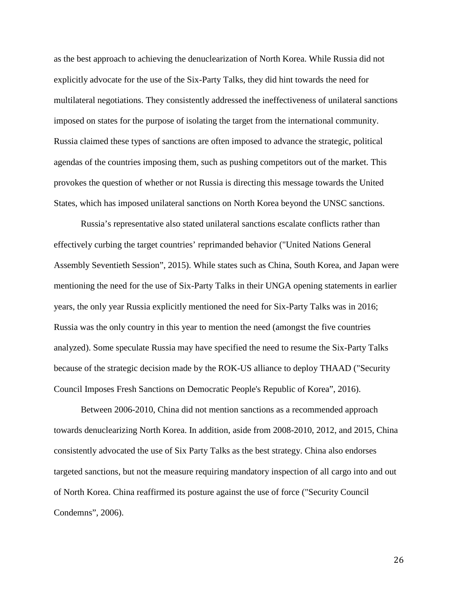as the best approach to achieving the denuclearization of North Korea. While Russia did not explicitly advocate for the use of the Six-Party Talks, they did hint towards the need for multilateral negotiations. They consistently addressed the ineffectiveness of unilateral sanctions imposed on states for the purpose of isolating the target from the international community. Russia claimed these types of sanctions are often imposed to advance the strategic, political agendas of the countries imposing them, such as pushing competitors out of the market. This provokes the question of whether or not Russia is directing this message towards the United States, which has imposed unilateral sanctions on North Korea beyond the UNSC sanctions.

Russia's representative also stated unilateral sanctions escalate conflicts rather than effectively curbing the target countries' reprimanded behavior ("United Nations General Assembly Seventieth Session", 2015). While states such as China, South Korea, and Japan were mentioning the need for the use of Six-Party Talks in their UNGA opening statements in earlier years, the only year Russia explicitly mentioned the need for Six-Party Talks was in 2016; Russia was the only country in this year to mention the need (amongst the five countries analyzed). Some speculate Russia may have specified the need to resume the Six-Party Talks because of the strategic decision made by the ROK-US alliance to deploy THAAD ("Security Council Imposes Fresh Sanctions on Democratic People's Republic of Korea", 2016).

Between 2006-2010, China did not mention sanctions as a recommended approach towards denuclearizing North Korea. In addition, aside from 2008-2010, 2012, and 2015, China consistently advocated the use of Six Party Talks as the best strategy. China also endorses targeted sanctions, but not the measure requiring mandatory inspection of all cargo into and out of North Korea. China reaffirmed its posture against the use of force ("Security Council Condemns", 2006).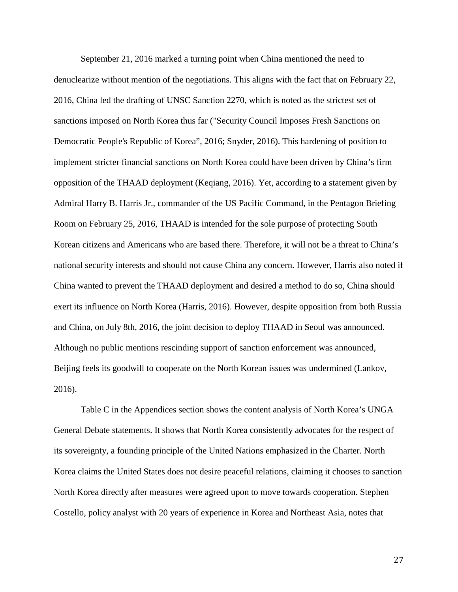September 21, 2016 marked a turning point when China mentioned the need to denuclearize without mention of the negotiations. This aligns with the fact that on February 22, 2016, China led the drafting of UNSC Sanction 2270, which is noted as the strictest set of sanctions imposed on North Korea thus far ("Security Council Imposes Fresh Sanctions on Democratic People's Republic of Korea", 2016; Snyder, 2016). This hardening of position to implement stricter financial sanctions on North Korea could have been driven by China's firm opposition of the THAAD deployment (Keqiang, 2016). Yet, according to a statement given by Admiral Harry B. Harris Jr., commander of the US Pacific Command, in the Pentagon Briefing Room on February 25, 2016, THAAD is intended for the sole purpose of protecting South Korean citizens and Americans who are based there. Therefore, it will not be a threat to China's national security interests and should not cause China any concern. However, Harris also noted if China wanted to prevent the THAAD deployment and desired a method to do so, China should exert its influence on North Korea (Harris, 2016). However, despite opposition from both Russia and China, on July 8th, 2016, the joint decision to deploy THAAD in Seoul was announced. Although no public mentions rescinding support of sanction enforcement was announced, Beijing feels its goodwill to cooperate on the North Korean issues was undermined (Lankov, 2016).

Table C in the Appendices section shows the content analysis of North Korea's UNGA General Debate statements. It shows that North Korea consistently advocates for the respect of its sovereignty, a founding principle of the United Nations emphasized in the Charter. North Korea claims the United States does not desire peaceful relations, claiming it chooses to sanction North Korea directly after measures were agreed upon to move towards cooperation. Stephen Costello, policy analyst with 20 years of experience in Korea and Northeast Asia, notes that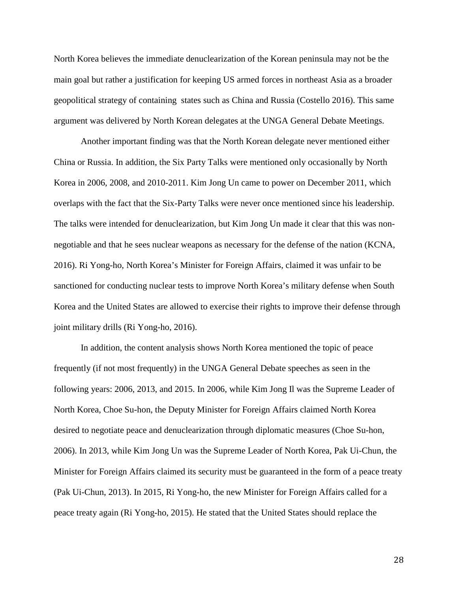North Korea believes the immediate denuclearization of the Korean peninsula may not be the main goal but rather a justification for keeping US armed forces in northeast Asia as a broader geopolitical strategy of containing states such as China and Russia (Costello 2016). This same argument was delivered by North Korean delegates at the UNGA General Debate Meetings.

Another important finding was that the North Korean delegate never mentioned either China or Russia. In addition, the Six Party Talks were mentioned only occasionally by North Korea in 2006, 2008, and 2010-2011. Kim Jong Un came to power on December 2011, which overlaps with the fact that the Six-Party Talks were never once mentioned since his leadership. The talks were intended for denuclearization, but Kim Jong Un made it clear that this was nonnegotiable and that he sees nuclear weapons as necessary for the defense of the nation (KCNA, 2016). Ri Yong-ho, North Korea's Minister for Foreign Affairs, claimed it was unfair to be sanctioned for conducting nuclear tests to improve North Korea's military defense when South Korea and the United States are allowed to exercise their rights to improve their defense through joint military drills (Ri Yong-ho, 2016).

In addition, the content analysis shows North Korea mentioned the topic of peace frequently (if not most frequently) in the UNGA General Debate speeches as seen in the following years: 2006, 2013, and 2015. In 2006, while Kim Jong Il was the Supreme Leader of North Korea, Choe Su-hon, the Deputy Minister for Foreign Affairs claimed North Korea desired to negotiate peace and denuclearization through diplomatic measures (Choe Su-hon, 2006). In 2013, while Kim Jong Un was the Supreme Leader of North Korea, Pak Ui-Chun, the Minister for Foreign Affairs claimed its security must be guaranteed in the form of a peace treaty (Pak Ui-Chun, 2013). In 2015, Ri Yong-ho, the new Minister for Foreign Affairs called for a peace treaty again (Ri Yong-ho, 2015). He stated that the United States should replace the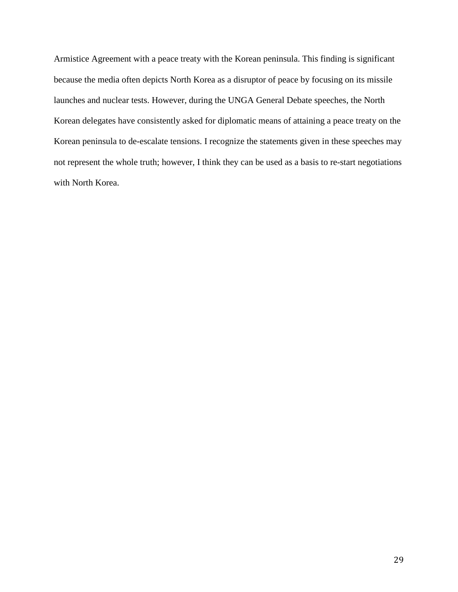Armistice Agreement with a peace treaty with the Korean peninsula. This finding is significant because the media often depicts North Korea as a disruptor of peace by focusing on its missile launches and nuclear tests. However, during the UNGA General Debate speeches, the North Korean delegates have consistently asked for diplomatic means of attaining a peace treaty on the Korean peninsula to de-escalate tensions. I recognize the statements given in these speeches may not represent the whole truth; however, I think they can be used as a basis to re-start negotiations with North Korea.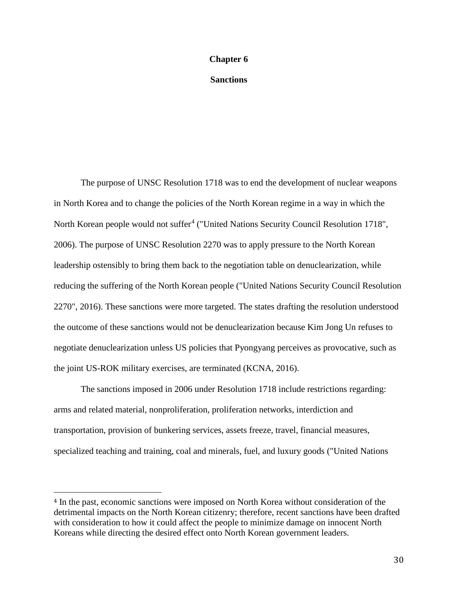#### **Chapter 6**

**Sanctions**

The purpose of UNSC Resolution 1718 was to end the development of nuclear weapons in North Korea and to change the policies of the North Korean regime in a way in which the North Korean people would not suffer<sup>[4](#page-30-0)</sup> ("United Nations Security Council Resolution 1718", 2006). The purpose of UNSC Resolution 2270 was to apply pressure to the North Korean leadership ostensibly to bring them back to the negotiation table on denuclearization, while reducing the suffering of the North Korean people ("United Nations Security Council Resolution 2270", 2016). These sanctions were more targeted. The states drafting the resolution understood the outcome of these sanctions would not be denuclearization because Kim Jong Un refuses to negotiate denuclearization unless US policies that Pyongyang perceives as provocative, such as the joint US-ROK military exercises, are terminated (KCNA, 2016).

The sanctions imposed in 2006 under Resolution 1718 include restrictions regarding: arms and related material, nonproliferation, proliferation networks, interdiction and transportation, provision of bunkering services, assets freeze, travel, financial measures, specialized teaching and training, coal and minerals, fuel, and luxury goods ("United Nations

 $\overline{a}$ 

<span id="page-30-0"></span><sup>4</sup> In the past, economic sanctions were imposed on North Korea without consideration of the detrimental impacts on the North Korean citizenry; therefore, recent sanctions have been drafted with consideration to how it could affect the people to minimize damage on innocent North Koreans while directing the desired effect onto North Korean government leaders.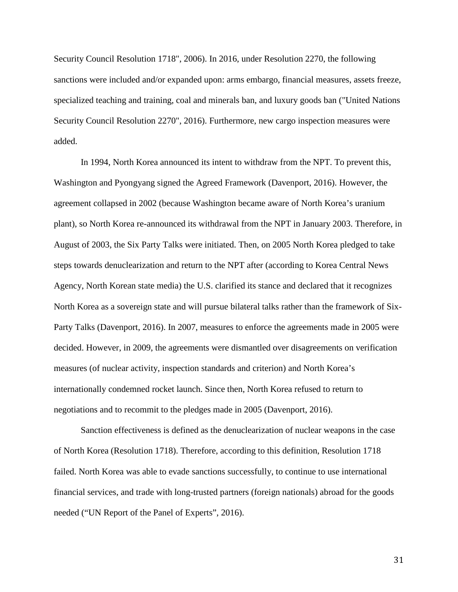Security Council Resolution 1718", 2006). In 2016, under Resolution 2270, the following sanctions were included and/or expanded upon: arms embargo, financial measures, assets freeze, specialized teaching and training, coal and minerals ban, and luxury goods ban ("United Nations Security Council Resolution 2270", 2016). Furthermore, new cargo inspection measures were added.

In 1994, North Korea announced its intent to withdraw from the NPT. To prevent this, Washington and Pyongyang signed the Agreed Framework (Davenport, 2016). However, the agreement collapsed in 2002 (because Washington became aware of North Korea's uranium plant), so North Korea re-announced its withdrawal from the NPT in January 2003. Therefore, in August of 2003, the Six Party Talks were initiated. Then, on 2005 North Korea pledged to take steps towards denuclearization and return to the NPT after (according to Korea Central News Agency, North Korean state media) the U.S. clarified its stance and declared that it recognizes North Korea as a sovereign state and will pursue bilateral talks rather than the framework of Six-Party Talks (Davenport, 2016). In 2007, measures to enforce the agreements made in 2005 were decided. However, in 2009, the agreements were dismantled over disagreements on verification measures (of nuclear activity, inspection standards and criterion) and North Korea's internationally condemned rocket launch. Since then, North Korea refused to return to negotiations and to recommit to the pledges made in 2005 (Davenport, 2016).

Sanction effectiveness is defined as the denuclearization of nuclear weapons in the case of North Korea (Resolution 1718). Therefore, according to this definition, Resolution 1718 failed. North Korea was able to evade sanctions successfully, to continue to use international financial services, and trade with long-trusted partners (foreign nationals) abroad for the goods needed ("UN Report of the Panel of Experts", 2016).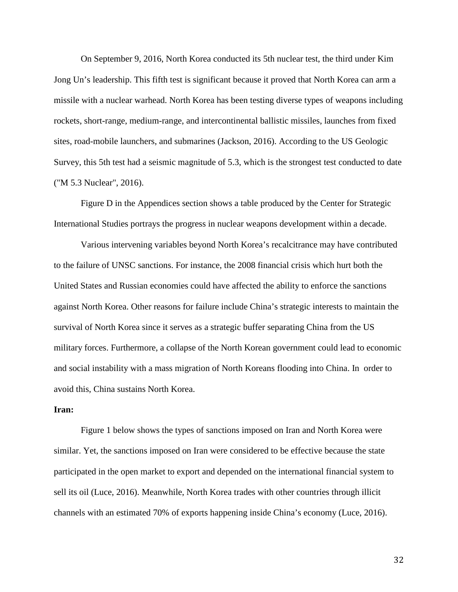On September 9, 2016, North Korea conducted its 5th nuclear test, the third under Kim Jong Un's leadership. This fifth test is significant because it proved that North Korea can arm a missile with a nuclear warhead. North Korea has been testing diverse types of weapons including rockets, short-range, medium-range, and intercontinental ballistic missiles, launches from fixed sites, road-mobile launchers, and submarines (Jackson, 2016). According to the US Geologic Survey, this 5th test had a seismic magnitude of 5.3, which is the strongest test conducted to date ("M 5.3 Nuclear", 2016).

Figure D in the Appendices section shows a table produced by the Center for Strategic International Studies portrays the progress in nuclear weapons development within a decade.

Various intervening variables beyond North Korea's recalcitrance may have contributed to the failure of UNSC sanctions. For instance, the 2008 financial crisis which hurt both the United States and Russian economies could have affected the ability to enforce the sanctions against North Korea. Other reasons for failure include China's strategic interests to maintain the survival of North Korea since it serves as a strategic buffer separating China from the US military forces. Furthermore, a collapse of the North Korean government could lead to economic and social instability with a mass migration of North Koreans flooding into China. In order to avoid this, China sustains North Korea.

#### **Iran:**

Figure 1 below shows the types of sanctions imposed on Iran and North Korea were similar. Yet, the sanctions imposed on Iran were considered to be effective because the state participated in the open market to export and depended on the international financial system to sell its oil (Luce, 2016). Meanwhile, North Korea trades with other countries through illicit channels with an estimated 70% of exports happening inside China's economy (Luce, 2016).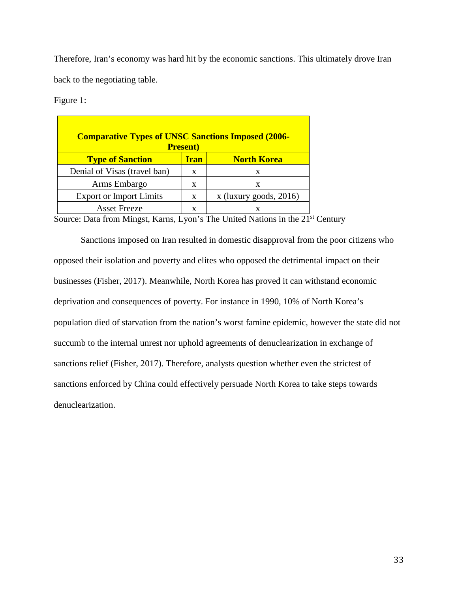Therefore, Iran's economy was hard hit by the economic sanctions. This ultimately drove Iran back to the negotiating table.

Figure 1:

| <b>Comparative Types of UNSC Sanctions Imposed (2006-</b><br><b>Present</b> ) |             |                          |  |
|-------------------------------------------------------------------------------|-------------|--------------------------|--|
| <b>Type of Sanction</b>                                                       | <b>Iran</b> | <b>North Korea</b>       |  |
| Denial of Visas (travel ban)                                                  | X           | X                        |  |
| Arms Embargo                                                                  | X           | X                        |  |
| <b>Export or Import Limits</b>                                                | X           | $x$ (luxury goods, 2016) |  |
| <b>Asset Freeze</b>                                                           | x           |                          |  |

Source: Data from Mingst, Karns, Lyon's The United Nations in the 21<sup>st</sup> Century

Sanctions imposed on Iran resulted in domestic disapproval from the poor citizens who opposed their isolation and poverty and elites who opposed the detrimental impact on their businesses (Fisher, 2017). Meanwhile, North Korea has proved it can withstand economic deprivation and consequences of poverty. For instance in 1990, 10% of North Korea's population died of starvation from the nation's worst famine epidemic, however the state did not succumb to the internal unrest nor uphold agreements of denuclearization in exchange of sanctions relief (Fisher, 2017). Therefore, analysts question whether even the strictest of sanctions enforced by China could effectively persuade North Korea to take steps towards denuclearization.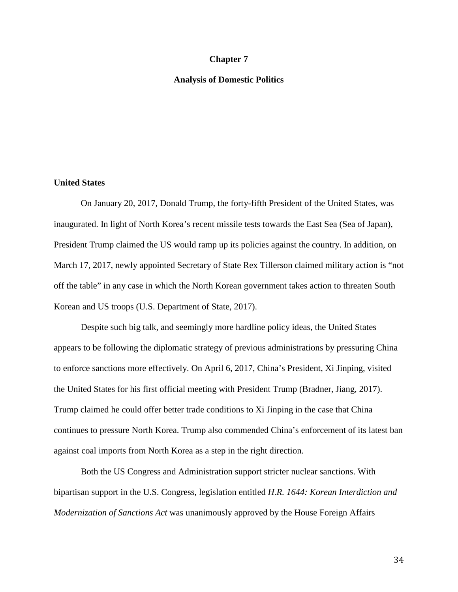#### **Chapter 7**

#### **Analysis of Domestic Politics**

#### **United States**

On January 20, 2017, Donald Trump, the forty-fifth President of the United States, was inaugurated. In light of North Korea's recent missile tests towards the East Sea (Sea of Japan), President Trump claimed the US would ramp up its policies against the country. In addition, on March 17, 2017, newly appointed Secretary of State Rex Tillerson claimed military action is "not off the table" in any case in which the North Korean government takes action to threaten South Korean and US troops (U.S. Department of State, 2017).

Despite such big talk, and seemingly more hardline policy ideas, the United States appears to be following the diplomatic strategy of previous administrations by pressuring China to enforce sanctions more effectively. On April 6, 2017, China's President, Xi Jinping, visited the United States for his first official meeting with President Trump (Bradner, Jiang, 2017). Trump claimed he could offer better trade conditions to Xi Jinping in the case that China continues to pressure North Korea. Trump also commended China's enforcement of its latest ban against coal imports from North Korea as a step in the right direction.

Both the US Congress and Administration support stricter nuclear sanctions. With bipartisan support in the U.S. Congress, legislation entitled *H.R. 1644: Korean Interdiction and Modernization of Sanctions Act* was unanimously approved by the House Foreign Affairs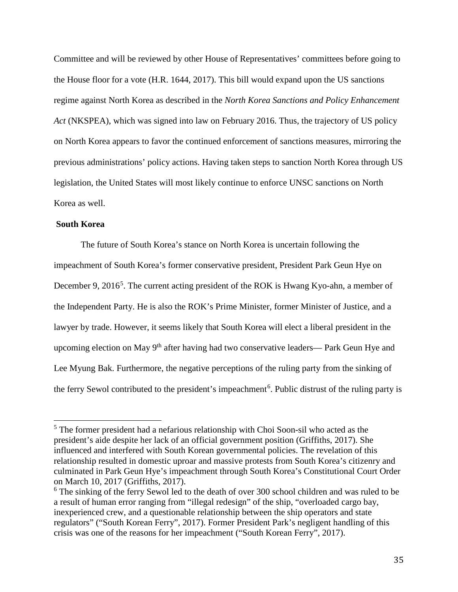Committee and will be reviewed by other House of Representatives' committees before going to the House floor for a vote (H.R. 1644, 2017). This bill would expand upon the US sanctions regime against North Korea as described in the *North Korea Sanctions and Policy Enhancement Act* (NKSPEA), which was signed into law on February 2016. Thus, the trajectory of US policy on North Korea appears to favor the continued enforcement of sanctions measures, mirroring the previous administrations' policy actions. Having taken steps to sanction North Korea through US legislation, the United States will most likely continue to enforce UNSC sanctions on North Korea as well.

# **South Korea**

The future of South Korea's stance on North Korea is uncertain following the impeachment of South Korea's former conservative president, President Park Geun Hye on December 9, 2016<sup>[5](#page-35-0)</sup>. The current acting president of the ROK is Hwang Kyo-ahn, a member of the Independent Party. He is also the ROK's Prime Minister, former Minister of Justice, and a lawyer by trade. However, it seems likely that South Korea will elect a liberal president in the upcoming election on May 9<sup>th</sup> after having had two conservative leaders— Park Geun Hye and Lee Myung Bak. Furthermore, the negative perceptions of the ruling party from the sinking of the ferry Sewol contributed to the president's impeachment<sup>[6](#page-35-1)</sup>. Public distrust of the ruling party is

<span id="page-35-0"></span> <sup>5</sup> The former president had a nefarious relationship with Choi Soon-sil who acted as the president's aide despite her lack of an official government position (Griffiths, 2017). She influenced and interfered with South Korean governmental policies. The revelation of this relationship resulted in domestic uproar and massive protests from South Korea's citizenry and culminated in Park Geun Hye's impeachment through South Korea's Constitutional Court Order on March 10, 2017 (Griffiths, 2017).

<span id="page-35-1"></span><sup>&</sup>lt;sup>6</sup> The sinking of the ferry Sewol led to the death of over 300 school children and was ruled to be a result of human error ranging from "illegal redesign" of the ship, "overloaded cargo bay, inexperienced crew, and a questionable relationship between the ship operators and state regulators" ("South Korean Ferry", 2017). Former President Park's negligent handling of this crisis was one of the reasons for her impeachment ("South Korean Ferry", 2017).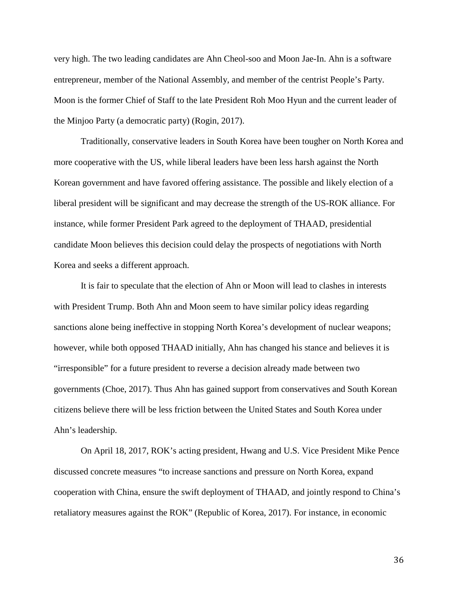very high. The two leading candidates are Ahn Cheol-soo and Moon Jae-In. Ahn is a software entrepreneur, member of the National Assembly, and member of the centrist People's Party. Moon is the former Chief of Staff to the late President Roh Moo Hyun and the current leader of the Minjoo Party (a democratic party) (Rogin, 2017).

Traditionally, conservative leaders in South Korea have been tougher on North Korea and more cooperative with the US, while liberal leaders have been less harsh against the North Korean government and have favored offering assistance. The possible and likely election of a liberal president will be significant and may decrease the strength of the US-ROK alliance. For instance, while former President Park agreed to the deployment of THAAD, presidential candidate Moon believes this decision could delay the prospects of negotiations with North Korea and seeks a different approach.

It is fair to speculate that the election of Ahn or Moon will lead to clashes in interests with President Trump. Both Ahn and Moon seem to have similar policy ideas regarding sanctions alone being ineffective in stopping North Korea's development of nuclear weapons; however, while both opposed THAAD initially, Ahn has changed his stance and believes it is "irresponsible" for a future president to reverse a decision already made between two governments [\(Choe,](https://www.nytimes.com/2017/04/14/world/asia/south-korea-election-ahn-cheol-soo.html) 2017). Thus Ahn has gained support from conservatives and South Korean citizens believe there will be less friction between the United States and South Korea under Ahn's leadership.

On April 18, 2017, ROK's acting president, Hwang and U.S. Vice President Mike Pence discussed concrete measures "to increase sanctions and pressure on North Korea, expand cooperation with China, ensure the swift deployment of THAAD, and jointly respond to China's retaliatory measures against the ROK" (Republic of Korea, 2017). For instance, in economic

36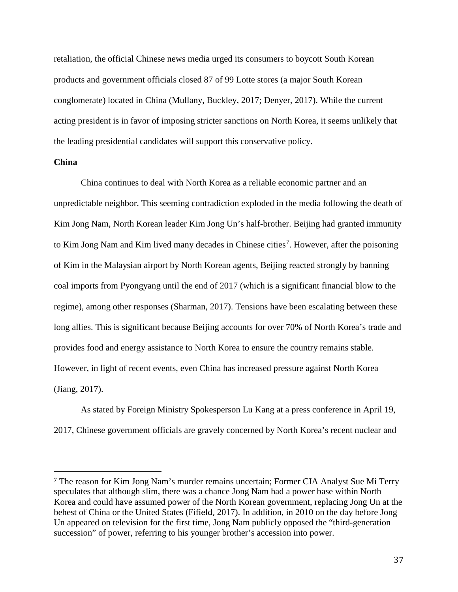retaliation, the official Chinese news media urged its consumers to boycott South Korean products and government officials closed 87 of 99 Lotte stores (a major South Korean conglomerate) located in China (Mullany, Buckley, 2017; Denyer, 2017). While the current acting president is in favor of imposing stricter sanctions on North Korea, it seems unlikely that the leading presidential candidates will support this conservative policy.

### **China**

 $\overline{a}$ 

China continues to deal with North Korea as a reliable economic partner and an unpredictable neighbor. This seeming contradiction exploded in the media following the death of Kim Jong Nam, North Korean leader Kim Jong Un's half-brother. Beijing had granted immunity to Kim Jong Nam and Kim lived many decades in Chinese cities<sup>[7](#page-37-0)</sup>. However, after the poisoning of Kim in the Malaysian airport by North Korean agents, Beijing reacted strongly by banning coal imports from Pyongyang until the end of 2017 (which is a significant financial blow to the regime), among other responses (Sharman, 2017). Tensions have been escalating between these long allies. This is significant because Beijing accounts for over 70% of North Korea's trade and provides food and energy assistance to North Korea to ensure the country remains stable. However, in light of recent events, even China has increased pressure against North Korea (Jiang, 2017).

As stated by Foreign Ministry Spokesperson Lu Kang at a press conference in April 19, 2017, Chinese government officials are gravely concerned by North Korea's recent nuclear and

<span id="page-37-0"></span><sup>7</sup> The reason for Kim Jong Nam's murder remains uncertain; Former CIA Analyst Sue Mi Terry speculates that although slim, there was a chance Jong Nam had a power base within North Korea and could have assumed power of the North Korean government, replacing Jong Un at the behest of China or the United States ([Fifield,](https://www.washingtonpost.com/world/asia_pacific/the-sad-life-and-even-sadder-end-of-kim-jong-nam/2017/02/24/7fb591fc-f941-11e6-aa1e-5f735ee31334_story.html?utm_term=.7e29225deffb) 2017). In addition, in 2010 on the day before Jong Un appeared on television for the first time, Jong Nam publicly opposed the "third-generation succession" of power, referring to his younger brother's accession into power.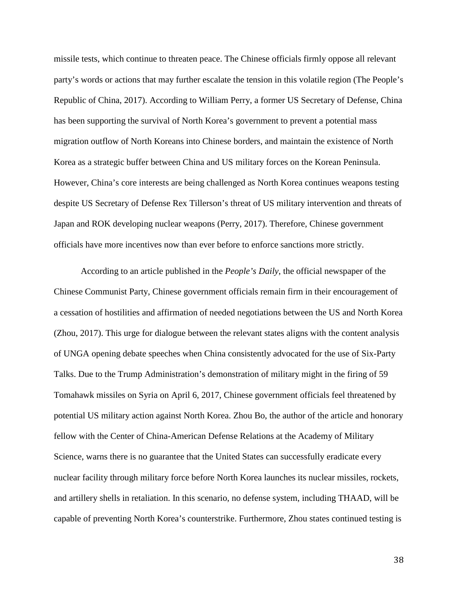missile tests, which continue to threaten peace. The Chinese officials firmly oppose all relevant party's words or actions that may further escalate the tension in this volatile region (The People's Republic of China, 2017). According to William Perry, a former US Secretary of Defense, China has been supporting the survival of North Korea's government to prevent a potential mass migration outflow of North Koreans into Chinese borders, and maintain the existence of North Korea as a strategic buffer between China and US military forces on the Korean Peninsula. However, China's core interests are being challenged as North Korea continues weapons testing despite US Secretary of Defense Rex Tillerson's threat of US military intervention and threats of Japan and ROK developing nuclear weapons (Perry, 2017). Therefore, Chinese government officials have more incentives now than ever before to enforce sanctions more strictly.

According to an article published in the *People's Daily*, the official newspaper of the Chinese Communist Party, Chinese government officials remain firm in their encouragement of a cessation of hostilities and affirmation of needed negotiations between the US and North Korea (Zhou, 2017). This urge for dialogue between the relevant states aligns with the content analysis of UNGA opening debate speeches when China consistently advocated for the use of Six-Party Talks. Due to the Trump Administration's demonstration of military might in the firing of 59 Tomahawk missiles on Syria on April 6, 2017, Chinese government officials feel threatened by potential US military action against North Korea. Zhou Bo, the author of the article and honorary fellow with the Center of China-American Defense Relations at the Academy of Military Science, warns there is no guarantee that the United States can successfully eradicate every nuclear facility through military force before North Korea launches its nuclear missiles, rockets, and artillery shells in retaliation. In this scenario, no defense system, including THAAD, will be capable of preventing North Korea's counterstrike. Furthermore, Zhou states continued testing is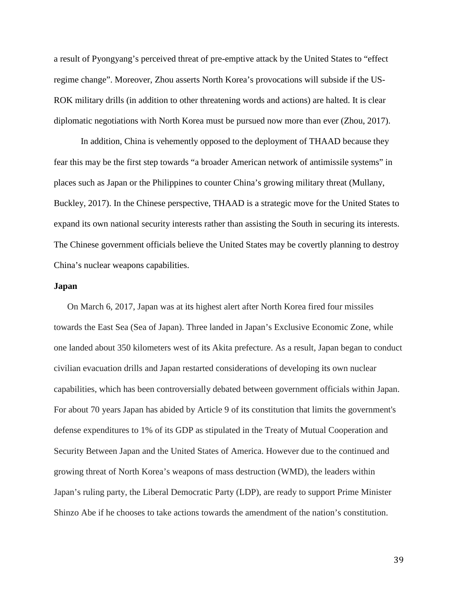a result of Pyongyang's perceived threat of pre-emptive attack by the United States to "effect regime change". Moreover, Zhou asserts North Korea's provocations will subside if the US-ROK military drills (in addition to other threatening words and actions) are halted. It is clear diplomatic negotiations with North Korea must be pursued now more than ever (Zhou, 2017).

In addition, China is vehemently opposed to the deployment of THAAD because they fear this may be the first step towards "a broader American network of antimissile systems" in places such as Japan or the Philippines to counter China's growing military threat [\(Mullany,](https://www.nytimes.com/2017/03/07/world/asia/thaad-missile-defense-us-south-korea-china.html))  [Buckley, 2017\).](https://www.nytimes.com/2017/03/07/world/asia/thaad-missile-defense-us-south-korea-china.html)) In the Chinese perspective, THAAD is a strategic move for the United States to expand its own national security interests rather than assisting the South in securing its interests. The Chinese government officials believe the United States may be covertly planning to destroy China's nuclear weapons capabilities.

#### **Japan**

On March 6, 2017, Japan was at its highest alert after North Korea fired four missiles towards the East Sea (Sea of Japan). Three landed in Japan's Exclusive Economic Zone, while one landed about 350 kilometers west of its Akita prefecture. As a result, Japan began to conduct civilian evacuation drills and Japan restarted considerations of developing its own nuclear capabilities, which has been controversially debated between government officials within Japan. For about 70 years Japan has abided by Article 9 of its constitution that limits the government's defense expenditures to 1% of its GDP as stipulated in the Treaty of Mutual Cooperation and Security Between Japan and the United States of America. However due to the continued and growing threat of North Korea's weapons of mass destruction (WMD), the leaders within Japan's ruling party, the Liberal Democratic Party (LDP), are ready to support Prime Minister Shinzo Abe if he chooses to take actions towards the amendment of the nation's constitution.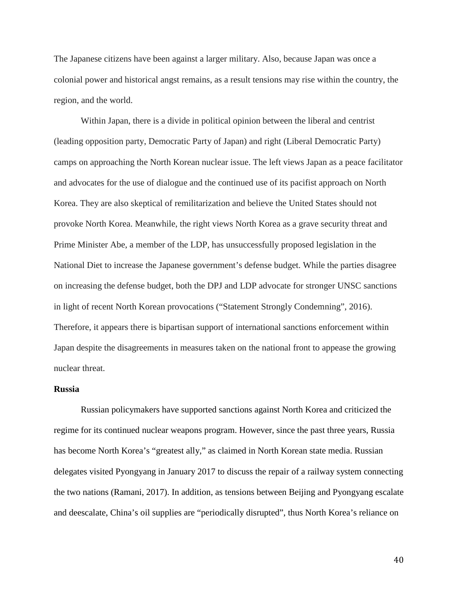The Japanese citizens have been against a larger military. Also, because Japan was once a colonial power and historical angst remains, as a result tensions may rise within the country, the region, and the world.

Within Japan, there is a divide in political opinion between the liberal and centrist (leading opposition party, Democratic Party of Japan) and right (Liberal Democratic Party) camps on approaching the North Korean nuclear issue. The left views Japan as a peace facilitator and advocates for the use of dialogue and the continued use of its pacifist approach on North Korea. They are also skeptical of remilitarization and believe the United States should not provoke North Korea. Meanwhile, the right views North Korea as a grave security threat and Prime Minister Abe, a member of the LDP, has unsuccessfully proposed legislation in the National Diet to increase the Japanese government's defense budget. While the parties disagree on increasing the defense budget, both the DPJ and LDP advocate for stronger UNSC sanctions in light of recent North Korean provocations [\("Statement](https://www.minshin.or.jp/english/article/109899/Statement+strongly+condemning+North+Korea%E2%80%99s+nuclear+test) Strongly Condemning", 2016). Therefore, it appears there is bipartisan support of international sanctions enforcement within Japan despite the disagreements in measures taken on the national front to appease the growing nuclear threat.

#### **Russia**

Russian policymakers have supported sanctions against North Korea and criticized the regime for its continued nuclear weapons program. However, since the past three years, Russia has become North Korea's "greatest ally," as claimed in North Korean state media. Russian delegates visited Pyongyang in January 2017 to discuss the repair of a railway system connecting the two nations (Ramani, 2017). In addition, as tensions between Beijing and Pyongyang escalate and deescalate, China's oil supplies are "periodically disrupted", thus North Korea's reliance on

40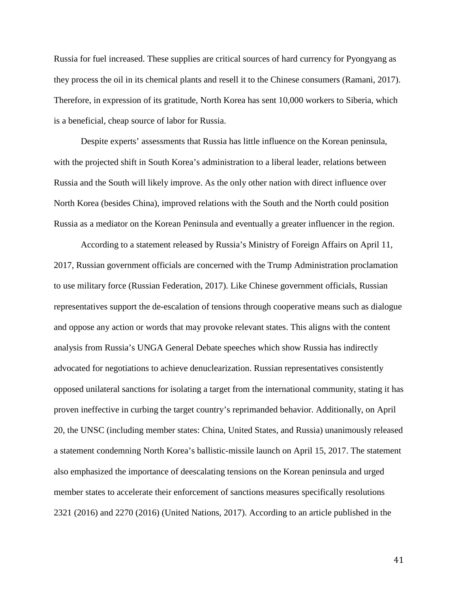Russia for fuel increased. These supplies are critical sources of hard currency for Pyongyang as they process the oil in its chemical plants and resell it to the Chinese consumers (Ramani, 2017). Therefore, in expression of its gratitude, North Korea has sent 10,000 workers to Siberia, which is a beneficial, cheap source of labor for Russia.

 Despite experts' assessments that Russia has little influence on the Korean peninsula, with the projected shift in South Korea's administration to a liberal leader, relations between Russia and the South will likely improve. As the only other nation with direct influence over North Korea (besides China), improved relations with the South and the North could position Russia as a mediator on the Korean Peninsula and eventually a greater influencer in the region.

According to a statement released by Russia's Ministry of Foreign Affairs on April 11, 2017, Russian government officials are concerned with the Trump Administration proclamation to use military force (Russian Federation, 2017). Like Chinese government officials, Russian representatives support the de-escalation of tensions through cooperative means such as dialogue and oppose any action or words that may provoke relevant states. This aligns with the content analysis from Russia's UNGA General Debate speeches which show Russia has indirectly advocated for negotiations to achieve denuclearization. Russian representatives consistently opposed unilateral sanctions for isolating a target from the international community, stating it has proven ineffective in curbing the target country's reprimanded behavior. Additionally, on April 20, the UNSC (including member states: China, United States, and Russia) unanimously released a statement condemning North Korea's ballistic-missile launch on April 15, 2017. The statement also emphasized the importance of deescalating tensions on the Korean peninsula and urged member states to accelerate their enforcement of sanctions measures specifically resolutions 2321 (2016) and 2270 (2016) (United Nations, 2017). According to an article published in the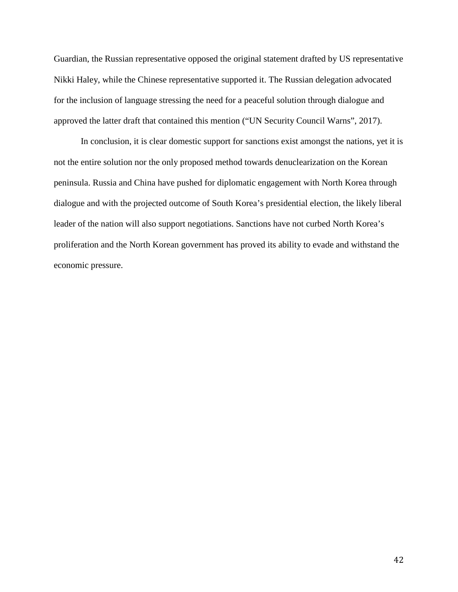Guardian, the Russian representative opposed the original statement drafted by US representative Nikki Haley, while the Chinese representative supported it. The Russian delegation advocated for the inclusion of language stressing the need for a peaceful solution through dialogue and approved the latter draft that contained this mention ("UN Security Council Warns", 2017).

In conclusion, it is clear domestic support for sanctions exist amongst the nations, yet it is not the entire solution nor the only proposed method towards denuclearization on the Korean peninsula. Russia and China have pushed for diplomatic engagement with North Korea through dialogue and with the projected outcome of South Korea's presidential election, the likely liberal leader of the nation will also support negotiations. Sanctions have not curbed North Korea's proliferation and the North Korean government has proved its ability to evade and withstand the economic pressure.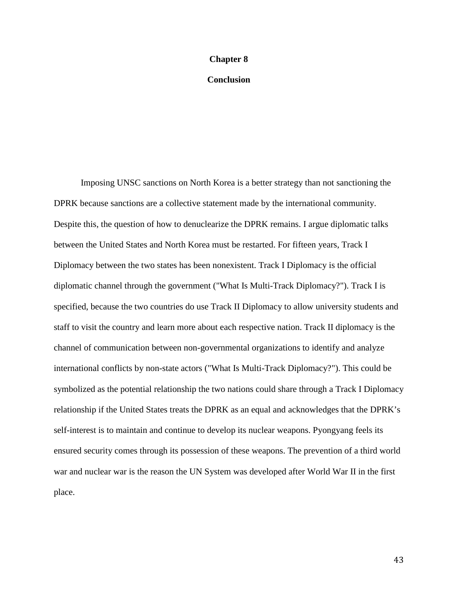#### **Chapter 8**

## **Conclusion**

Imposing UNSC sanctions on North Korea is a better strategy than not sanctioning the DPRK because sanctions are a collective statement made by the international community. Despite this, the question of how to denuclearize the DPRK remains. I argue diplomatic talks between the United States and North Korea must be restarted. For fifteen years, Track I Diplomacy between the two states has been nonexistent. Track I Diplomacy is the official diplomatic channel through the government ("What Is Multi-Track Diplomacy?"). Track I is specified, because the two countries do use Track II Diplomacy to allow university students and staff to visit the country and learn more about each respective nation. Track II diplomacy is the channel of communication between non-governmental organizations to identify and analyze international conflicts by non-state actors ("What Is Multi-Track Diplomacy?"). This could be symbolized as the potential relationship the two nations could share through a Track I Diplomacy relationship if the United States treats the DPRK as an equal and acknowledges that the DPRK's self-interest is to maintain and continue to develop its nuclear weapons. Pyongyang feels its ensured security comes through its possession of these weapons. The prevention of a third world war and nuclear war is the reason the UN System was developed after World War II in the first place.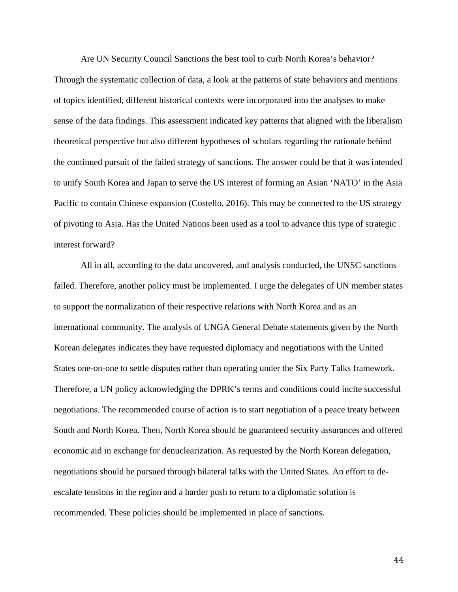Are UN Security Council Sanctions the best tool to curb North Korea's behavior? Through the systematic collection of data, a look at the patterns of state behaviors and mentions of topics identified, different historical contexts were incorporated into the analyses to make sense of the data findings. This assessment indicated key patterns that aligned with the liberalism theoretical perspective but also different hypotheses of scholars regarding the rationale behind the continued pursuit of the failed strategy of sanctions. The answer could be that it was intended to unify South Korea and Japan to serve the US interest of forming an Asian 'NATO' in the Asia Pacific to contain Chinese expansion (Costello, 2016). This may be connected to the US strategy of pivoting to Asia. Has the United Nations been used as a tool to advance this type of strategic interest forward?

All in all, according to the data uncovered, and analysis conducted, the UNSC sanctions failed. Therefore, another policy must be implemented. I urge the delegates of UN member states to support the normalization of their respective relations with North Korea and as an international community. The analysis of UNGA General Debate statements given by the North Korean delegates indicates they have requested diplomacy and negotiations with the United States one-on-one to settle disputes rather than operating under the Six Party Talks framework. Therefore, a UN policy acknowledging the DPRK's terms and conditions could incite successful negotiations. The recommended course of action is to start negotiation of a peace treaty between South and North Korea. Then, North Korea should be guaranteed security assurances and offered economic aid in exchange for denuclearization. As requested by the North Korean delegation, negotiations should be pursued through bilateral talks with the United States. An effort to deescalate tensions in the region and a harder push to return to a diplomatic solution is recommended. These policies should be implemented in place of sanctions.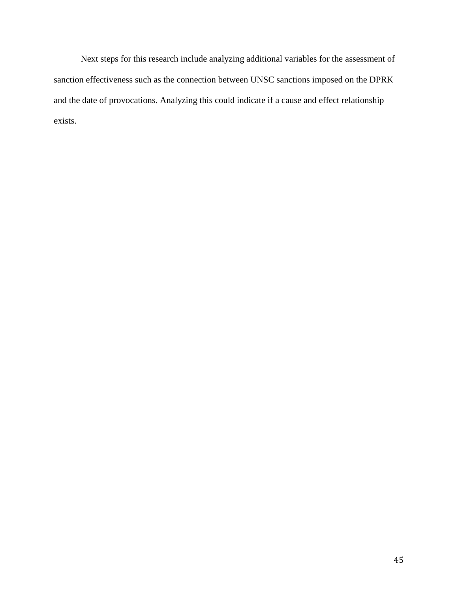Next steps for this research include analyzing additional variables for the assessment of sanction effectiveness such as the connection between UNSC sanctions imposed on the DPRK and the date of provocations. Analyzing this could indicate if a cause and effect relationship exists.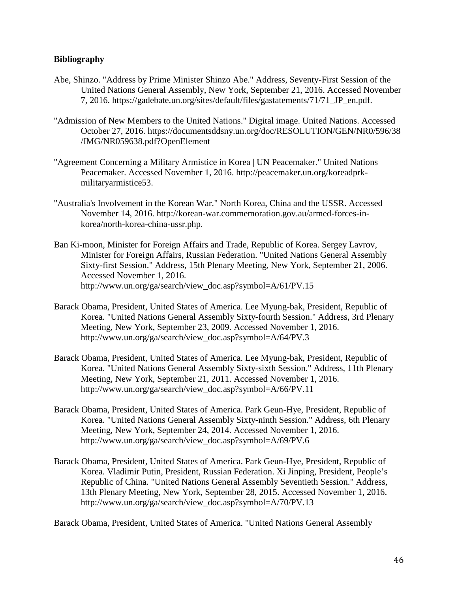## **Bibliography**

- Abe, Shinzo. "Address by Prime Minister Shinzo Abe." Address, Seventy-First Session of the United Nations General Assembly, New York, September 21, 2016. Accessed November 7, 2016. https://gadebate.un.org/sites/default/files/gastatements/71/71\_JP\_en.pdf.
- "Admission of New Members to the United Nations." Digital image. United Nations. Accessed October 27, 2016. <https://documentsddsny.un.org/doc/RESOLUTION/GEN/NR0/596/38> /IMG/NR059638.pdf?OpenElement
- "Agreement Concerning a Military Armistice in Korea | UN Peacemaker." United Nations Peacemaker. Accessed November 1, 2016. [http://peacemaker.un.org/koreadprk](http://peacemaker.un.org/koreadprk-)militaryarmistice53.
- "Australia's Involvement in the Korean War." North Korea, China and the USSR. Accessed November 14, 2016. [http://korean-war.commemoration.gov.au/armed-forces-in](http://korean-war.commemoration.gov.au/armed-forces-in-korea/north-korea-china-ussr.php)[korea/north-korea-china-ussr.php.](http://korean-war.commemoration.gov.au/armed-forces-in-korea/north-korea-china-ussr.php)
- Ban Ki-moon, Minister for Foreign Affairs and Trade, Republic of Korea. Sergey Lavrov, Minister for Foreign Affairs, Russian Federation. "United Nations General Assembly Sixty-first Session." Address, 15th Plenary Meeting, New York, September 21, 2006. Accessed November 1, 2016. [http://www.un.org/ga/search/view\\_doc.asp?symbol=A/61/PV.15](http://www.un.org/ga/search/view_doc.asp?symbol=A/61/PV.15)
- Barack Obama, President, United States of America. Lee Myung-bak, President, Republic of Korea. "United Nations General Assembly Sixty-fourth Session." Address, 3rd Plenary Meeting, New York, September 23, 2009. Accessed November 1, 2016. http://www.un.org/ga/search/view\_doc.asp?symbol=A/64/PV.3
- Barack Obama, President, United States of America. Lee Myung-bak, President, Republic of Korea. "United Nations General Assembly Sixty-sixth Session." Address, 11th Plenary Meeting, New York, September 21, 2011. Accessed November 1, 2016. http://www.un.org/ga/search/view\_doc.asp?symbol=A/66/PV.11
- Barack Obama, President, United States of America. Park Geun-Hye, President, Republic of Korea. "United Nations General Assembly Sixty-ninth Session." Address, 6th Plenary Meeting, New York, September 24, 2014. Accessed November 1, 2016. http://www.un.org/ga/search/view\_doc.asp?symbol=A/69/PV.6
- Barack Obama, President, United States of America. Park Geun-Hye, President, Republic of Korea. Vladimir Putin, President, Russian Federation. Xi Jinping, President, People's Republic of China. "United Nations General Assembly Seventieth Session." Address, 13th Plenary Meeting, New York, September 28, 2015. Accessed November 1, 2016. http://www.un.org/ga/search/view\_doc.asp?symbol=A/70/PV.13

Barack Obama, President, United States of America. "United Nations General Assembly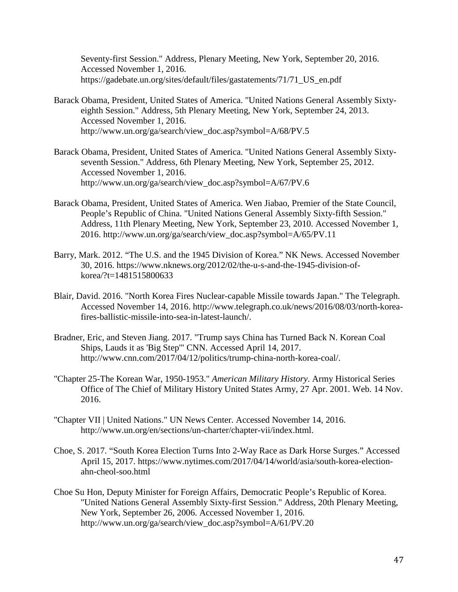Seventy-first Session." Address, Plenary Meeting, New York, September 20, 2016. Accessed November 1, 2016. https://gadebate.un.org/sites/default/files/gastatements/71/71 US en.pdf

- Barack Obama, President, United States of America. "United Nations General Assembly Sixtyeighth Session." Address, 5th Plenary Meeting, New York, September 24, 2013. Accessed November 1, 2016. http://www.un.org/ga/search/view\_doc.asp?symbol=A/68/PV.5
- Barack Obama, President, United States of America. "United Nations General Assembly Sixtyseventh Session." Address, 6th Plenary Meeting, New York, September 25, 2012. Accessed November 1, 2016. http://www.un.org/ga/search/view\_doc.asp?symbol=A/67/PV.6
- Barack Obama, President, United States of America. Wen Jiabao, Premier of the State Council, People's Republic of China. "United Nations General Assembly Sixty-fifth Session." Address, 11th Plenary Meeting, New York, September 23, 2010. Accessed November 1, 2016. [http://www.un.org/ga/search/view\\_doc.asp?symbol=A/65/PV.11](http://www.un.org/ga/search/view_doc.asp?symbol=A/65/PV.11)
- Barry, Mark. 2012. "The U.S. and the 1945 Division of Korea." NK News. Accessed November 30, 2016. [https://www.nknews.org/2012/02/the-u-s-and-the-1945-division-of](https://www.nknews.org/2012/02/the-u-s-and-the-1945-division-of-korea/?t=1481515800633)[korea/?t=1481515800633](https://www.nknews.org/2012/02/the-u-s-and-the-1945-division-of-korea/?t=1481515800633)
- Blair, David. 2016. "North Korea Fires Nuclear-capable Missile towards Japan." The Telegraph. Accessed November 14, 2016. [http://www.telegraph.co.uk/news/2016/08/03/north-korea](http://www.telegraph.co.uk/news/2016/08/03/north-korea-fires-ballistic-missile-into-sea-in-)[fires-ballistic-missile-into-sea-in-l](http://www.telegraph.co.uk/news/2016/08/03/north-korea-fires-ballistic-missile-into-sea-in-)atest-launch/.
- Bradner, Eric, and Steven Jiang. 2017. "Trump says China has Turned Back N. Korean Coal Ships, Lauds it as 'Big Step'" CNN. Accessed April 14, 2017. [http://www.cnn.com/2017/04/12/politics/trump-china-north-korea-coal/.](http://www.cnn.com/2017/04/12/politics/trump-china-north-korea-coal/)
- "Chapter 25-The Korean War, 1950-1953." *American Military History*. Army Historical Series Office of The Chief of Military History United States Army, 27 Apr. 2001. Web. 14 Nov. 2016.
- "Chapter VII | United Nations." UN News Center. Accessed November 14, 2016. http://www.un.org/en/sections/un-charter/chapter-vii/index.html.
- Choe, S. 2017. "South Korea Election Turns Into 2-Way Race as Dark Horse Surges." Accessed April 15, 2017. [https://www.nytimes.com/2017/04/14/world/asia/south-korea-election](https://www.nytimes.com/2017/04/14/world/asia/south-korea-election-ahn-cheol-soo.html)[ahn-cheol-soo.html](https://www.nytimes.com/2017/04/14/world/asia/south-korea-election-ahn-cheol-soo.html)
- Choe Su Hon, Deputy Minister for Foreign Affairs, Democratic People's Republic of Korea. "United Nations General Assembly Sixty-first Session." Address, 20th Plenary Meeting, New York, September 26, 2006. Accessed November 1, 2016. [http://www.un.org/ga/search/view\\_doc.asp?symbol=A/61/PV.20](http://www.un.org/ga/search/view_doc.asp?symbol=A/61/PV.20)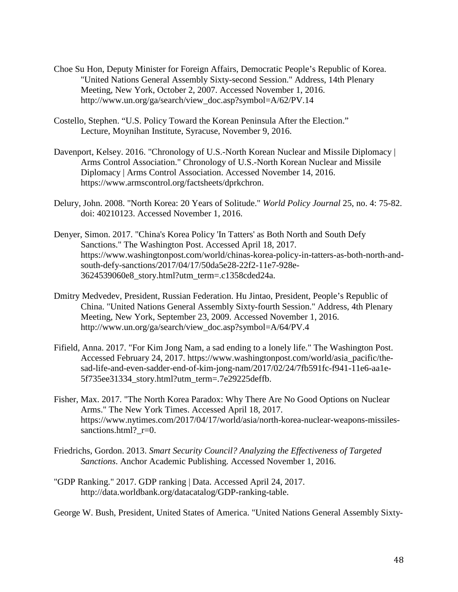- Choe Su Hon, Deputy Minister for Foreign Affairs, Democratic People's Republic of Korea. "United Nations General Assembly Sixty-second Session." Address, 14th Plenary Meeting, New York, October 2, 2007. Accessed November 1, 2016. http://www.un.org/ga/search/view\_doc.asp?symbol=A/62/PV.14
- Costello, Stephen. "U.S. Policy Toward the Korean Peninsula After the Election." Lecture, Moynihan Institute, Syracuse, November 9, 2016.
- Davenport, Kelsey. 2016. "Chronology of U.S.-North Korean Nuclear and Missile Diplomacy | Arms Control Association." Chronology of U.S.-North Korean Nuclear and Missile Diplomacy | Arms Control Association. Accessed November 14, 2016. https://www.armscontrol.org/factsheets/dprkchron.
- Delury, John. 2008. "North Korea: 20 Years of Solitude." *World Policy Journal* 25, no. 4: 75-82. doi: 40210123. Accessed November 1, 2016.
- Denyer, Simon. 2017. "China's Korea Policy 'In Tatters' as Both North and South Defy Sanctions." The Washington Post. Accessed April 18, 2017. [https://www.washingtonpost.com/world/chinas-korea-policy-in-tatters-as-both-north-and](https://www.washingtonpost.com/world/chinas-korea-policy-in-tatters-as-both-north-and-south-defy-sanctions/2017/04/17/50da5e28-22f2-11e7-928e-3624539060e8_story.html?utm_term=.c1358cded24a)[south-defy-sanctions/2017/04/17/50da5e28-22f2-11e7-928e-](https://www.washingtonpost.com/world/chinas-korea-policy-in-tatters-as-both-north-and-south-defy-sanctions/2017/04/17/50da5e28-22f2-11e7-928e-3624539060e8_story.html?utm_term=.c1358cded24a)[3624539060e8\\_story.html?utm\\_term=.c1358cded24a.](https://www.washingtonpost.com/world/chinas-korea-policy-in-tatters-as-both-north-and-south-defy-sanctions/2017/04/17/50da5e28-22f2-11e7-928e-3624539060e8_story.html?utm_term=.c1358cded24a)
- Dmitry Medvedev, President, Russian Federation. Hu Jintao, President, People's Republic of China. "United Nations General Assembly Sixty-fourth Session." Address, 4th Plenary Meeting, New York, September 23, 2009. Accessed November 1, 2016. http://www.un.org/ga/search/view\_doc.asp?symbol=A/64/PV.4
- Fifield, Anna. 2017. "For Kim Jong Nam, a sad ending to a lonely life." The Washington Post. Accessed February 24, 2017. [https://www.washingtonpost.com/world/asia\\_pacific/the](https://www.washingtonpost.com/world/asia_pacific/the-sad-life-and-even-sadder-end-of-kim-jong-nam/2017/02/24/7fb591fc-f941-11e6-aa1e-5f735ee31334_story.html?utm_term=.7e29225deffb)[sad-life-and-even-sadder-end-of-kim-jong-nam/2017/02/24/7fb591fc-f941-11e6-aa1e-](https://www.washingtonpost.com/world/asia_pacific/the-sad-life-and-even-sadder-end-of-kim-jong-nam/2017/02/24/7fb591fc-f941-11e6-aa1e-5f735ee31334_story.html?utm_term=.7e29225deffb)5f735ee31334 story.html?utm\_term=.7e29225deffb.
- Fisher, Max. 2017. "The North Korea Paradox: Why There Are No Good Options on Nuclear Arms." The New York Times. Accessed April 18, 2017. [https://www.nytimes.com/2017/04/17/world/asia/north-korea-n](https://www.nytimes.com/2017/04/17/world/asia/north-korea-)uclear-weapons-missilessanctions.html? r=0.
- Friedrichs, Gordon. 2013. *Smart Security Council? Analyzing the Effectiveness of Targeted Sanctions*. Anchor Academic Publishing. Accessed November 1, 2016.
- "GDP Ranking." 2017. GDP ranking | Data. Accessed April 24, 2017. http://data.worldbank.org/datacatalog/GDP-ranking-table.

George W. Bush, President, United States of America. "United Nations General Assembly Sixty-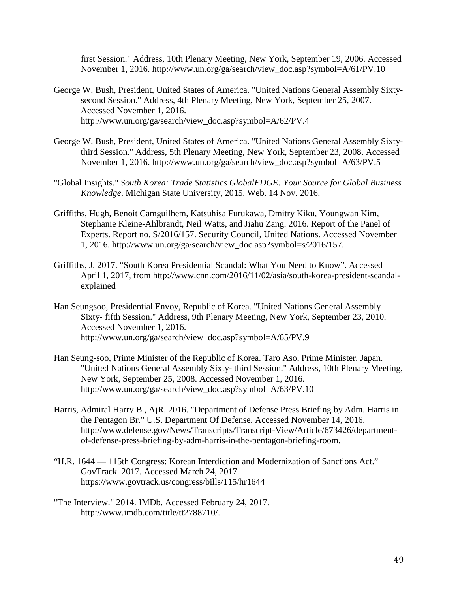first Session." Address, 10th Plenary Meeting, New York, September 19, 2006. Accessed November 1, 2016. http://www.un.org/ga/search/view\_doc.asp?symbol=A/61/PV.10

- George W. Bush, President, United States of America. "United Nations General Assembly Sixtysecond Session." Address, 4th Plenary Meeting, New York, September 25, 2007. Accessed November 1, 2016. [http://www.un.org/ga/search/view\\_doc.asp?symbol=A/62/PV.4](http://www.un.org/ga/search/view_doc.asp?symbol=A/62/PV.4)
- George W. Bush, President, United States of America. "United Nations General Assembly Sixtythird Session." Address, 5th Plenary Meeting, New York, September 23, 2008. Accessed November 1, 2016. http://www.un.org/ga/search/view\_doc.asp?symbol=A/63/PV.5
- "Global Insights." *South Korea: Trade Statistics GlobalEDGE: Your Source for Global Business Knowledge*. Michigan State University, 2015. Web. 14 Nov. 2016.
- Griffiths, Hugh, Benoit Camguilhem, Katsuhisa Furukawa, Dmitry Kiku, Youngwan Kim, Stephanie Kleine-Ahlbrandt, Neil Watts, and Jiahu Zang. 2016. Report of the Panel of Experts. Report no. S/2016/157. Security Council, United Nations. Accessed November 1, 2016. [http://www.un.org/ga/search/view\\_doc.asp?symbol=s/2016/157.](http://www.un.org/ga/search/view_doc.asp?symbol=s/2016/157)
- Griffiths, J. 2017. "South Korea Presidential Scandal: What You Need to Know". Accessed April 1, 2017, from [http://www.cnn.com/2016/11/02/asia/south-korea-president-scandal](http://www.cnn.com/2016/11/02/asia/south-korea-president-scandal-explained)[explained](http://www.cnn.com/2016/11/02/asia/south-korea-president-scandal-explained)
- Han Seungsoo, Presidential Envoy, Republic of Korea. "United Nations General Assembly Sixty- fifth Session." Address, 9th Plenary Meeting, New York, September 23, 2010. Accessed November 1, 2016. http://www.un.org/ga/search/view\_doc.asp?symbol=A/65/PV.9
- Han Seung-soo, Prime Minister of the Republic of Korea. Taro Aso, Prime Minister, Japan. "United Nations General Assembly Sixty- third Session." Address, 10th Plenary Meeting, New York, September 25, 2008. Accessed November 1, 2016. http://www.un.org/ga/search/view\_doc.asp?symbol=A/63/PV.10
- Harris, Admiral Harry B., AjR. 2016. "Department of Defense Press Briefing by Adm. Harris in the Pentagon Br." U.S. Department Of Defense. Accessed November 14, 2016. http://www.defense.gov/News/Transcripts/Transcript-View/Article/673426/departmentof-defense-press-briefing-by-adm-harris-in-the-pentagon-briefing-room.
- "H.R. 1644 115th Congress: Korean Interdiction and Modernization of Sanctions Act." GovTrack. 2017. Accessed March 24, 2017. <https://www.govtrack.us/congress/bills/115/hr1644>
- "The Interview." 2014. IMDb. Accessed February 24, 2017. [http://www.imdb.com/title/tt2788710/.](http://www.imdb.com/title/tt2788710/)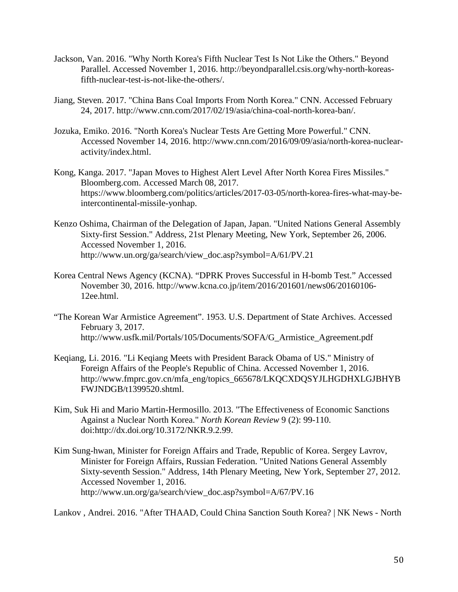- Jackson, Van. 2016. "Why North Korea's Fifth Nuclear Test Is Not Like the Others." Beyond Parallel. Accessed November 1, 2016. [http://beyondparallel.csis.org/why-north-koreas](http://beyondparallel.csis.org/why-north-koreas-fifth-nuclear-test-is-not-like-the-)[fifth-nuclear-test-is-not-like-the-o](http://beyondparallel.csis.org/why-north-koreas-fifth-nuclear-test-is-not-like-the-)thers/.
- Jiang, Steven. 2017. "China Bans Coal Imports From North Korea." CNN. Accessed February 24, 2017. [http://www.cnn.com/2017/02/19/asia/china-coal-north-korea-ban/.](http://www.cnn.com/2017/02/19/asia/china-coal-north-korea-ban/)
- Jozuka, Emiko. 2016. "North Korea's Nuclear Tests Are Getting More Powerful." CNN. Accessed November 14, 2016. [http://www.cnn.com/2016/09/09/asia/north-korea-nuclear](http://www.cnn.com/2016/09/09/asia/north-korea-nuclear-)activity/index.html.
- Kong, Kanga. 2017. "Japan Moves to Highest Alert Level After North Korea Fires Missiles." Bloomberg.com. Accessed March 08, 2017. [https://www.bloomberg.com/politics/articles/2017-03-05/north-korea-fires-what-may-be](https://www.bloomberg.com/politics/articles/2017-03-05/north-korea-fires-what-may-be-intercontinental-missile-yonhap)[intercontinental-missile-yonhap.](https://www.bloomberg.com/politics/articles/2017-03-05/north-korea-fires-what-may-be-intercontinental-missile-yonhap)
- Kenzo Oshima, Chairman of the Delegation of Japan, Japan. "United Nations General Assembly Sixty-first Session." Address, 21st Plenary Meeting, New York, September 26, 2006. Accessed November 1, 2016. http://www.un.org/ga/search/view\_doc.asp?symbol=A/61/PV.21
- Korea Central News Agency (KCNA). "DPRK Proves Successful in H-bomb Test." Accessed November 30, 2016. [http://www.kcna.co.jp/item/2016/201601/news06/20160106-](http://www.kcna.co.jp/item/2016/201601/news06/20160106-12ee.html) [12ee.html.](http://www.kcna.co.jp/item/2016/201601/news06/20160106-12ee.html)
- "The Korean War Armistice Agreement". 1953. U.S. Department of State Archives. Accessed February 3, 2017. [http://www.usfk.mil/Portals/105/Documents/SOFA/G\\_Armistice\\_Agreement.pdf](http://www.usfk.mil/Portals/105/Documents/SOFA/G_Armistice_Agreement.pdf)
- Keqiang, Li. 2016. "Li Keqiang Meets with President Barack Obama of US." Ministry of Foreign Affairs of the People's Republic of China. Accessed November 1, 2016. http://www.fmprc.gov.cn/mfa\_eng/topics\_665678/LKQCXDQSYJLHGDHXLGJBHYB FWJNDGB/t1399520.shtml.
- Kim, Suk Hi and Mario Martin-Hermosillo. 2013. "The Effectiveness of Economic Sanctions Against a Nuclear North Korea." *North Korean Review* 9 (2): 99-110. doi:http://dx.doi.org/10.3172/NKR.9.2.99.
- Kim Sung-hwan, Minister for Foreign Affairs and Trade, Republic of Korea. Sergey Lavrov, Minister for Foreign Affairs, Russian Federation. "United Nations General Assembly Sixty-seventh Session." Address, 14th Plenary Meeting, New York, September 27, 2012. Accessed November 1, 2016. http://www.un.org/ga/search/view\_doc.asp?symbol=A/67/PV.16

Lankov , Andrei. 2016. "After THAAD, Could China Sanction South Korea? | NK News - North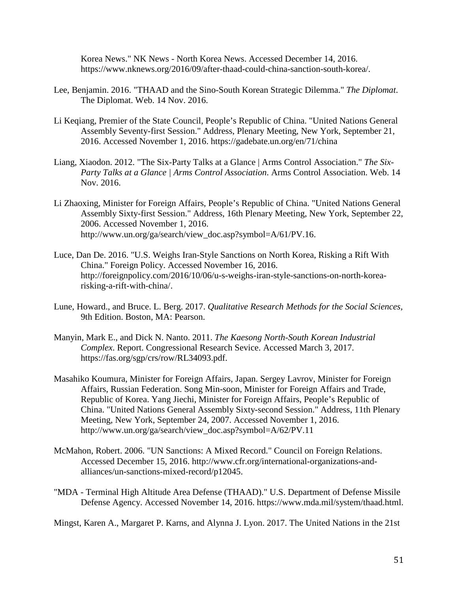Korea News." NK News - North Korea News. Accessed December 14, 2016. [https://www.nknews.org/2016/09/after-t](https://www.nknews.org/2016/09/after-)haad-could-china-sanction-south-korea/.

- Lee, Benjamin. 2016. "THAAD and the Sino-South Korean Strategic Dilemma." *The Diplomat*. The Diplomat. Web. 14 Nov. 2016.
- Li Keqiang, Premier of the State Council, People's Republic of China. "United Nations General Assembly Seventy-first Session." Address, Plenary Meeting, New York, September 21, 2016. Accessed November 1, 2016.<https://gadebate.un.org/en/71/china>
- Liang, Xiaodon. 2012. "The Six-Party Talks at a Glance | Arms Control Association." *The Six-Party Talks at a Glance | Arms Control Association*. Arms Control Association. Web. 14 Nov. 2016.
- Li Zhaoxing, Minister for Foreign Affairs, People's Republic of China. "United Nations General Assembly Sixty-first Session." Address, 16th Plenary Meeting, New York, September 22, 2006. Accessed November 1, 2016. [http://www.un.org/ga/search/view\\_doc.asp?symbol=A/61/PV.16.](http://www.un.org/ga/search/view_doc.asp?symbol=A/61/PV.16)
- Luce, Dan De. 2016. "U.S. Weighs Iran-Style Sanctions on North Korea, Risking a Rift With China." Foreign Policy. Accessed November 16, 2016. [http://foreignpolicy.com/2016/10/06/u-s-weighs-iran-style-s](http://foreignpolicy.com/2016/10/06/u-s-weighs-iran-style-)anctions-on-north-korearisking-a-rift-with-china/.
- Lune, Howard., and Bruce. L. Berg. 2017. *Qualitative Research Methods for the Social Sciences,* 9th Edition. Boston, MA: Pearson.
- Manyin, Mark E., and Dick N. Nanto. 2011. *The Kaesong North-South Korean Industrial Complex*. Report. Congressional Research Sevice. Accessed March 3, 2017. https://fas.org/sgp/crs/row/RL34093.pdf.
- Masahiko Koumura, Minister for Foreign Affairs, Japan. Sergey Lavrov, Minister for Foreign Affairs, Russian Federation. Song Min-soon, Minister for Foreign Affairs and Trade, Republic of Korea. Yang Jiechi, Minister for Foreign Affairs, People's Republic of China. "United Nations General Assembly Sixty-second Session." Address, 11th Plenary Meeting, New York, September 24, 2007. Accessed November 1, 2016. [http://www.un.org/ga/search/view\\_doc.asp?symbol=A/62/PV.11](http://www.un.org/ga/search/view_doc.asp?symbol=A/62/PV.11)
- McMahon, Robert. 2006. "UN Sanctions: A Mixed Record." Council on Foreign Relations. Accessed December 15, 2016. [http://www.cfr.org/international-organizations-and](http://www.cfr.org/international-organizations-and-alliances/un-sanctions-mixed-)[alliances/un-sanctions-mixed-r](http://www.cfr.org/international-organizations-and-alliances/un-sanctions-mixed-)ecord/p12045.
- "MDA Terminal High Altitude Area Defense (THAAD)." U.S. Department of Defense Missile Defense Agency. Accessed November 14, 2016. [https://www.mda.mil/system/thaad.html.](https://www.mda.mil/system/thaad.html)

Mingst, Karen A., Margaret P. Karns, and Alynna J. Lyon. 2017. The United Nations in the 21st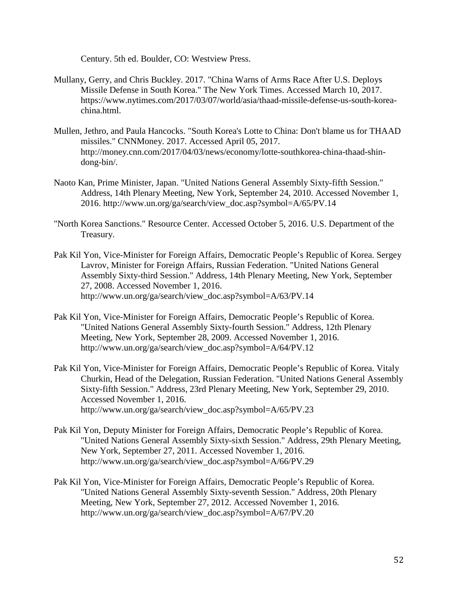Century. 5th ed. Boulder, CO: Westview Press.

- Mullany, Gerry, and Chris Buckley. 2017. "China Warns of Arms Race After U.S. Deploys Missile Defense in South Korea." The New York Times. Accessed March 10, 2017. [https://www.nytimes.com/2017/03/07/world/asia/thaad-missile-defense-us-south-korea](https://www.nytimes.com/2017/03/07/world/asia/thaad-missile-defense-us-south-korea-china.html)[china.html.](https://www.nytimes.com/2017/03/07/world/asia/thaad-missile-defense-us-south-korea-china.html)
- Mullen, Jethro, and Paula Hancocks. "South Korea's Lotte to China: Don't blame us for THAAD missiles." CNNMoney. 2017. Accessed April 05, 2017. [http://money.cnn.com/2017/04/03/news/economy/lotte-southkorea-china-thaad-shin](http://money.cnn.com/2017/04/03/news/economy/lotte-southkorea-china-thaad-shin-dong-bin/)[dong-bin/.](http://money.cnn.com/2017/04/03/news/economy/lotte-southkorea-china-thaad-shin-dong-bin/)
- Naoto Kan, Prime Minister, Japan. "United Nations General Assembly Sixty-fifth Session." Address, 14th Plenary Meeting, New York, September 24, 2010. Accessed November 1, 2016. [http://www.un.org/ga/search/view\\_doc.asp?symbol=A/65/PV.14](http://www.un.org/ga/search/view_doc.asp?symbol=A/65/PV.14)
- "North Korea Sanctions." Resource Center. Accessed October 5, 2016. U.S. Department of the Treasury.
- Pak Kil Yon, Vice-Minister for Foreign Affairs, Democratic People's Republic of Korea. Sergey Lavrov, Minister for Foreign Affairs, Russian Federation. "United Nations General Assembly Sixty-third Session." Address, 14th Plenary Meeting, New York, September 27, 2008. Accessed November 1, 2016. [http://www.un.org/ga/search/view\\_doc.asp?symbol=A/63/PV.14](http://www.un.org/ga/search/view_doc.asp?symbol=A/63/PV.14)
- Pak Kil Yon, Vice-Minister for Foreign Affairs, Democratic People's Republic of Korea. "United Nations General Assembly Sixty-fourth Session." Address, 12th Plenary Meeting, New York, September 28, 2009. Accessed November 1, 2016. http://www.un.org/ga/search/view\_doc.asp?symbol=A/64/PV.12
- Pak Kil Yon, Vice-Minister for Foreign Affairs, Democratic People's Republic of Korea. Vitaly Churkin, Head of the Delegation, Russian Federation. "United Nations General Assembly Sixty-fifth Session." Address, 23rd Plenary Meeting, New York, September 29, 2010. Accessed November 1, 2016. http://www.un.org/ga/search/view\_doc.asp?symbol=A/65/PV.23
- Pak Kil Yon, Deputy Minister for Foreign Affairs, Democratic People's Republic of Korea. "United Nations General Assembly Sixty-sixth Session." Address, 29th Plenary Meeting, New York, September 27, 2011. Accessed November 1, 2016. [http://www.un.org/ga/search/view\\_doc.asp?symbol=A/66/PV.29](http://www.un.org/ga/search/view_doc.asp?symbol=A/66/PV.29)
- Pak Kil Yon, Vice-Minister for Foreign Affairs, Democratic People's Republic of Korea. "United Nations General Assembly Sixty-seventh Session." Address, 20th Plenary Meeting, New York, September 27, 2012. Accessed November 1, 2016. http://www.un.org/ga/search/view\_doc.asp?symbol=A/67/PV.20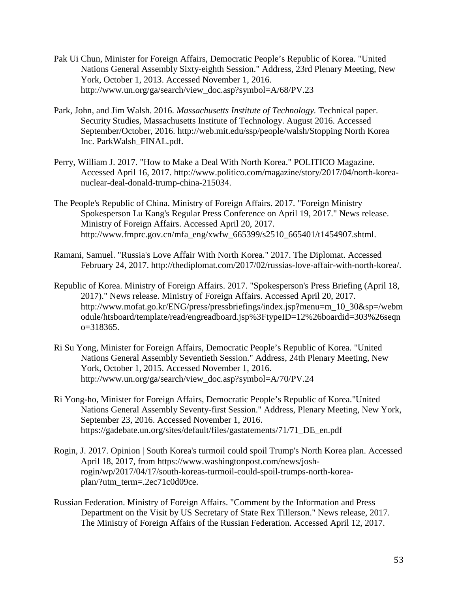- Pak Ui Chun, Minister for Foreign Affairs, Democratic People's Republic of Korea. "United Nations General Assembly Sixty-eighth Session." Address, 23rd Plenary Meeting, New York, October 1, 2013. Accessed November 1, 2016. http://www.un.org/ga/search/view\_doc.asp?symbol=A/68/PV.23
- Park, John, and Jim Walsh. 2016. *Massachusetts Institute of Technology.* Technical paper. Security Studies, Massachusetts Institute of Technology. August 2016. Accessed September/October, 2016. [http://web.mit.edu/ssp/people/walsh/Stopping North Korea](http://web.mit.edu/ssp/people/walsh/Stopping%20North%20Korea%20Inc.%20ParkWalsh_FINAL.pdf)  [Inc. ParkWalsh\\_FINAL.pdf.](http://web.mit.edu/ssp/people/walsh/Stopping%20North%20Korea%20Inc.%20ParkWalsh_FINAL.pdf)
- Perry, William J. 2017. "How to Make a Deal With North Korea." POLITICO Magazine. Accessed April 16, 2017. [http://www.politico.com/magazine/story/2017/04/north-korea](http://www.politico.com/magazine/story/2017/04/north-korea-nuclear-deal-donald-trump-china-215034)[nuclear-deal-donald-trump-china-215034.](http://www.politico.com/magazine/story/2017/04/north-korea-nuclear-deal-donald-trump-china-215034)
- The People's Republic of China. Ministry of Foreign Affairs. 2017. "Foreign Ministry Spokesperson Lu Kang's Regular Press Conference on April 19, 2017." News release. Ministry of Foreign Affairs. Accessed April 20, 2017. [http://www.fmprc.gov.cn/mfa\\_eng/xwfw\\_665399/s2510\\_665401/t1454907.shtml.](http://www.fmprc.gov.cn/mfa_eng/xwfw_665399/s2510_665401/t1454907.shtml)
- Ramani, Samuel. "Russia's Love Affair With North Korea." 2017. The Diplomat. Accessed February 24, 2017. [http://thediplomat.com/2017/02/russias-love-affair-with-north-korea/.](http://thediplomat.com/2017/02/russias-love-affair-with-north-korea/)
- Republic of Korea. Ministry of Foreign Affairs. 2017. "Spokesperson's Press Briefing (April 18, 2017)." News release. Ministry of Foreign Affairs. Accessed April 20, 2017. [http://www.mofat.go.kr/ENG/press/pressbriefings/index.jsp?menu=m\\_10\\_30&sp=/webm](http://www.mofat.go.kr/ENG/press/pressbriefings/index.jsp?menu=m_10_30&sp=/webmodule/htsboard/template/read/engreadboard.jsp%3FtypeID=12%26boardid=303%26seqno=318365) [odule/htsboard/template/read/engreadboard.jsp%3FtypeID=12%26boardid=303%26seqn](http://www.mofat.go.kr/ENG/press/pressbriefings/index.jsp?menu=m_10_30&sp=/webmodule/htsboard/template/read/engreadboard.jsp%3FtypeID=12%26boardid=303%26seqno=318365)  $o=318365.$
- Ri Su Yong, Minister for Foreign Affairs, Democratic People's Republic of Korea. "United Nations General Assembly Seventieth Session." Address, 24th Plenary Meeting, New York, October 1, 2015. Accessed November 1, 2016. [http://www.un.org/ga/search/view\\_doc.asp?symbol=A/70/PV.24](http://www.un.org/ga/search/view_doc.asp?symbol=A/70/PV.24)
- Ri Yong-ho, Minister for Foreign Affairs, Democratic People's Republic of Korea."United Nations General Assembly Seventy-first Session." Address, Plenary Meeting, New York, September 23, 2016. Accessed November 1, 2016. [https://gadebate.un.org/sites/default/files/gastatements/71/71\\_DE\\_en.pdf](https://gadebate.un.org/sites/default/files/gastatements/71/71_DE_en.pdf)
- Rogin, J. 2017. Opinion | South Korea's turmoil could spoil Trump's North Korea plan. Accessed April 18, 2017, from [https://www.washingtonpost.com/news/josh](https://www.washingtonpost.com/news/josh-rogin/wp/2017/04/17/south-koreas-turmoil-could-spoil-trumps-north-korea-plan/?utm_term=.2ec71c0d09ce)[rogin/wp/2017/04/17/south-koreas-turmoil-could-spoil-trumps-north-korea](https://www.washingtonpost.com/news/josh-rogin/wp/2017/04/17/south-koreas-turmoil-could-spoil-trumps-north-korea-plan/?utm_term=.2ec71c0d09ce)[plan/?utm\\_term=.2ec71c0d09ce.](https://www.washingtonpost.com/news/josh-rogin/wp/2017/04/17/south-koreas-turmoil-could-spoil-trumps-north-korea-plan/?utm_term=.2ec71c0d09ce)
- Russian Federation. Ministry of Foreign Affairs. "Comment by the Information and Press Department on the Visit by US Secretary of State Rex Tillerson." News release, 2017. The Ministry of Foreign Affairs of the Russian Federation. Accessed April 12, 2017.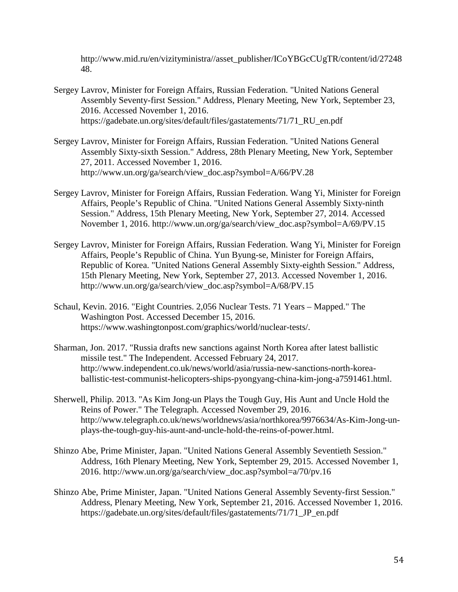[http://www.mid.ru/en/vizityministra//](http://www.mid.ru/en/vizity-ministra/)asset\_publisher/ICoYBGcCUgTR/content/id/27248 48.

- Sergey Lavrov, Minister for Foreign Affairs, Russian Federation. "United Nations General Assembly Seventy-first Session." Address, Plenary Meeting, New York, September 23, 2016. Accessed November 1, 2016. [https://gadebate.un.org/sites/default/files/gastatements/71/71\\_RU\\_en.pdf](https://gadebate.un.org/sites/default/files/gastatements/71/71_RU_en.pdf)
- Sergey Lavrov, Minister for Foreign Affairs, Russian Federation. "United Nations General Assembly Sixty-sixth Session." Address, 28th Plenary Meeting, New York, September 27, 2011. Accessed November 1, 2016. http://www.un.org/ga/search/view\_doc.asp?symbol=A/66/PV.28
- Sergey Lavrov, Minister for Foreign Affairs, Russian Federation. Wang Yi, Minister for Foreign Affairs, People's Republic of China. "United Nations General Assembly Sixty-ninth Session." Address, 15th Plenary Meeting, New York, September 27, 2014. Accessed November 1, 2016. http://www.un.org/ga/search/view\_doc.asp?symbol=A/69/PV.15
- Sergey Lavrov, Minister for Foreign Affairs, Russian Federation. Wang Yi, Minister for Foreign Affairs, People's Republic of China. Yun Byung-se, Minister for Foreign Affairs, Republic of Korea. "United Nations General Assembly Sixty-eighth Session." Address, 15th Plenary Meeting, New York, September 27, 2013. Accessed November 1, 2016. [http://www.un.org/ga/search/view\\_doc.asp?symbol=A/68/PV.15](http://www.un.org/ga/search/view_doc.asp?symbol=A/68/PV.15)
- Schaul, Kevin. 2016. "Eight Countries. 2,056 Nuclear Tests. 71 Years Mapped." The Washington Post. Accessed December 15, 2016. https://www.washingtonpost.com/graphics/world/nuclear-tests/.
- Sharman, Jon. 2017. "Russia drafts new sanctions against North Korea after latest ballistic missile test." The Independent. Accessed February 24, 2017. [http://www.independent.co.uk/news/world/asia/russia-new-sanctions-north-korea](http://www.independent.co.uk/news/world/asia/russia-new-sanctions-north-korea-ballistic-test-communist-helicopters-ships-pyongyang-china-kim-jong-a7591461.html)[ballistic-test-communist-helicopters-ships-pyongyang-china-kim-jong-a7591461.html.](http://www.independent.co.uk/news/world/asia/russia-new-sanctions-north-korea-ballistic-test-communist-helicopters-ships-pyongyang-china-kim-jong-a7591461.html)
- Sherwell, Philip. 2013. "As Kim Jong-un Plays the Tough Guy, His Aunt and Uncle Hold the Reins of Power." The Telegraph. Accessed November 29, 2016. http://www.telegraph.co.uk/news/worldnews/asia/northkorea/9976634/As-Kim-Jong-unplays-the-tough-guy-his-aunt-and-uncle-hold-the-reins-of-power.html.
- Shinzo Abe, Prime Minister, Japan. "United Nations General Assembly Seventieth Session." Address, 16th Plenary Meeting, New York, September 29, 2015. Accessed November 1, 2016. http://www.un.org/ga/search/view\_doc.asp?symbol=a/70/pv.16
- Shinzo Abe, Prime Minister, Japan. "United Nations General Assembly Seventy-first Session." Address, Plenary Meeting, New York, September 21, 2016. Accessed November 1, 2016. https://gadebate.un.org/sites/default/files/gastatements/71/71\_JP\_en.pdf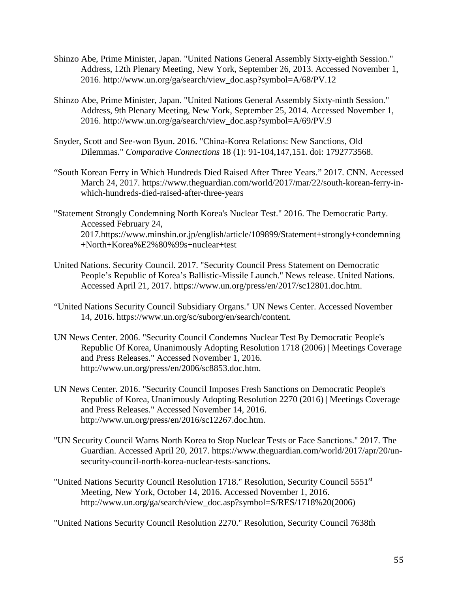- Shinzo Abe, Prime Minister, Japan. "United Nations General Assembly Sixty-eighth Session." Address, 12th Plenary Meeting, New York, September 26, 2013. Accessed November 1, 2016. http://www.un.org/ga/search/view\_doc.asp?symbol=A/68/PV.12
- Shinzo Abe, Prime Minister, Japan. "United Nations General Assembly Sixty-ninth Session." Address, 9th Plenary Meeting, New York, September 25, 2014. Accessed November 1, 2016. http://www.un.org/ga/search/view\_doc.asp?symbol=A/69/PV.9
- Snyder, Scott and See-won Byun. 2016. "China-Korea Relations: New Sanctions, Old Dilemmas." *Comparative Connections* 18 (1): 91-104,147,151. doi: 1792773568.
- "South Korean Ferry in Which Hundreds Died Raised After Three Years." 2017. CNN. Accessed March 24, 2017. [https://www.theguardian.com/world/2017/mar/22/south-korean-ferry-in](https://www.theguardian.com/world/2017/mar/22/south-korean-ferry-in-which-hundreds-died-)[which-hundreds-died-r](https://www.theguardian.com/world/2017/mar/22/south-korean-ferry-in-which-hundreds-died-)aised-after-three-years
- "Statement Strongly Condemning North Korea's Nuclear Test." 2016. The Democratic Party. Accessed February 24, 2017[.https://www.minshin.or.jp/english/article/109899/Statement+strongly+condemning](https://www.minshin.or.jp/english/article/109899/Statement+strongly+condemning+North+Korea%E2%80%99s+nuclear+test) [+North+Korea%E2%80%99s+nuclear+test](https://www.minshin.or.jp/english/article/109899/Statement+strongly+condemning+North+Korea%E2%80%99s+nuclear+test)
- United Nations. Security Council. 2017. "Security Council Press Statement on Democratic People's Republic of Korea's Ballistic-Missile Launch." News release. United Nations. Accessed April 21, 2017. [https://www.un.org/press/en/2017/sc12801.doc.htm.](https://www.un.org/press/en/2017/sc12801.doc.htm)
- "United Nations Security Council Subsidiary Organs." UN News Center. Accessed November 14, 2016. [https://www.un.org/sc/suborg/en/search/content.](https://www.un.org/sc/suborg/en/search/content)
- UN News Center. 2006. "Security Council Condemns Nuclear Test By Democratic People's Republic Of Korea, Unanimously Adopting Resolution 1718 (2006) | Meetings Coverage and Press Releases." Accessed November 1, 2016. http://www.un.org/press/en/2006/sc8853.doc.htm.
- UN News Center. 2016. "Security Council Imposes Fresh Sanctions on Democratic People's Republic of Korea, Unanimously Adopting Resolution 2270 (2016) | Meetings Coverage and Press Releases." Accessed November 14, 2016. http://www.un.org/press/en/2016/sc12267.doc.htm.
- "UN Security Council Warns North Korea to Stop Nuclear Tests or Face Sanctions." 2017. The Guardian. Accessed April 20, 2017. [https://www.theguardian.com/world/2017/apr/20/un](https://www.theguardian.com/world/2017/apr/20/un-security-council-north-korea-nuclear-tests-sanctions)[security-council-north-korea-nuclear-tests-sanctions.](https://www.theguardian.com/world/2017/apr/20/un-security-council-north-korea-nuclear-tests-sanctions)
- "United Nations Security Council Resolution 1718." Resolution, Security Council 5551<sup>st</sup> Meeting, New York, October 14, 2016. Accessed November 1, 2016. [http://www.un.org/ga/search/view\\_doc.asp?symbol=S/RES/1718%20\(2006\)](http://www.un.org/ga/search/view_doc.asp?symbol=S/RES/1718%20(2006))

"United Nations Security Council Resolution 2270." Resolution, Security Council 7638th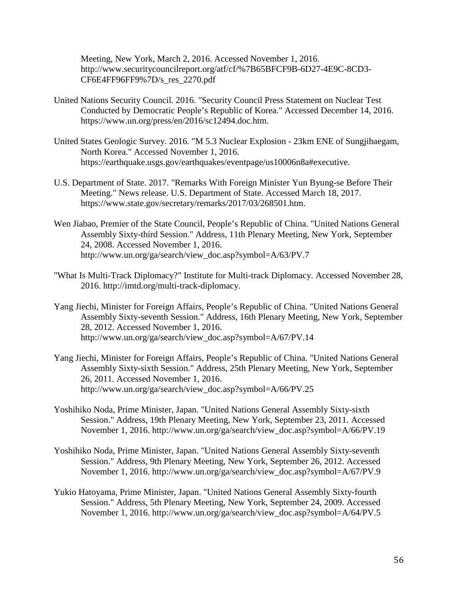Meeting, New York, March 2, 2016. Accessed November 1, 2016. <http://www.securitycouncilreport.org/atf/cf/%7B65BFCF9B-6D27-4E9C-8CD3-> CF6E4FF96FF9%7D/s\_res\_2270.pdf

- United Nations Security Council. 2016. "Security Council Press Statement on Nuclear Test Conducted by Democratic People's Republic of Korea." Accessed December 14, 2016. https://www.un.org/press/en/2016/sc12494.doc.htm.
- United States Geologic Survey. 2016. "M 5.3 Nuclear Explosion 23km ENE of Sungjibaegam, North Korea." Accessed November 1, 2016. https://earthquake.usgs.gov/earthquakes/eventpage/us10006n8a#executive.
- U.S. Department of State. 2017. "Remarks With Foreign Minister Yun Byung-se Before Their Meeting." News release. U.S. Department of State. Accessed March 18, 2017. https://www.state.gov/secretary/remarks/2017/03/268501.htm.
- Wen Jiabao, Premier of the State Council, People's Republic of China. "United Nations General Assembly Sixty-third Session." Address, 11th Plenary Meeting, New York, September 24, 2008. Accessed November 1, 2016. http://www.un.org/ga/search/view\_doc.asp?symbol=A/63/PV.7
- "What Is Multi-Track Diplomacy?" Institute for Multi-track Diplomacy. Accessed November 28, 2016. http://imtd.org/multi-track-diplomacy.
- Yang Jiechi, Minister for Foreign Affairs, People's Republic of China. "United Nations General Assembly Sixty-seventh Session." Address, 16th Plenary Meeting, New York, September 28, 2012. Accessed November 1, 2016. [http://www.un.org/ga/search/view\\_doc.asp?symbol=A/67/PV.14](http://www.un.org/ga/search/view_doc.asp?symbol=A/67/PV.14)
- Yang Jiechi, Minister for Foreign Affairs, People's Republic of China. "United Nations General Assembly Sixty-sixth Session." Address, 25th Plenary Meeting, New York, September 26, 2011. Accessed November 1, 2016. [http://www.un.org/ga/search/view\\_doc.asp?symbol=A/66/PV.25](http://www.un.org/ga/search/view_doc.asp?symbol=A/66/PV.25)
- Yoshihiko Noda, Prime Minister, Japan. "United Nations General Assembly Sixty-sixth Session." Address, 19th Plenary Meeting, New York, September 23, 2011. Accessed November 1, 2016. [http://www.un.org/ga/search/view\\_doc.asp?symbol=A/66/PV.19](http://www.un.org/ga/search/view_doc.asp?symbol=A/66/PV.19)
- Yoshihiko Noda, Prime Minister, Japan. "United Nations General Assembly Sixty-seventh Session." Address, 9th Plenary Meeting, New York, September 26, 2012. Accessed November 1, 2016. http://www.un.org/ga/search/view\_doc.asp?symbol=A/67/PV.9
- Yukio Hatoyama, Prime Minister, Japan. "United Nations General Assembly Sixty-fourth Session." Address, 5th Plenary Meeting, New York, September 24, 2009. Accessed November 1, 2016. http://www.un.org/ga/search/view\_doc.asp?symbol=A/64/PV.5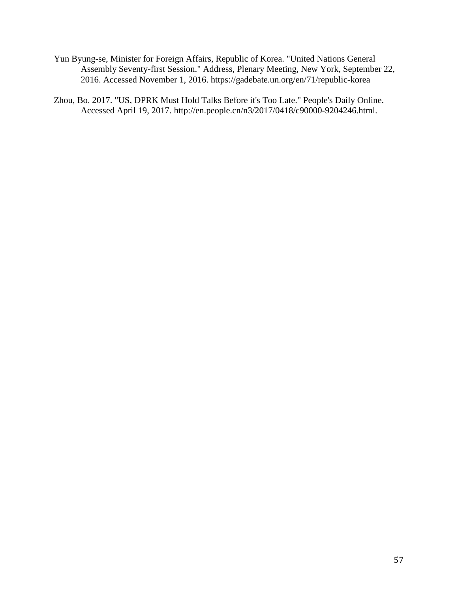- Yun Byung-se, Minister for Foreign Affairs, Republic of Korea. "United Nations General Assembly Seventy-first Session." Address, Plenary Meeting, New York, September 22, 2016. Accessed November 1, 2016.<https://gadebate.un.org/en/71/republic-korea>
- Zhou, Bo. 2017. "US, DPRK Must Hold Talks Before it's Too Late." People's Daily Online. Accessed April 19, 2017. [http://en.people.cn/n3/2017/0418/c90000-9204246.html.](http://en.people.cn/n3/2017/0418/c90000-9204246.html)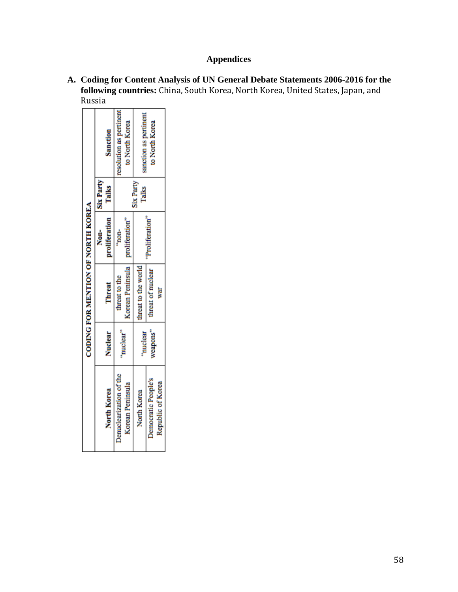# **Appendices**

| A. Coding for Content Analysis of UN General Debate Statements 2006-2016 for the       |
|----------------------------------------------------------------------------------------|
| <b>following countries:</b> China, South Korea, North Korea, United States, Japan, and |
| Russia                                                                                 |

|                                          |           | <b>CODING FOR MENTION OF NORTH KOREA</b> |                |                           |                         |
|------------------------------------------|-----------|------------------------------------------|----------------|---------------------------|-------------------------|
|                                          |           |                                          | Non-           | <b>Six Party</b>          |                         |
| North Korea                              | Nuclear   | Threat                                   | proliferation  | Talks                     | <b>Sanction</b>         |
| Denuclearization of the                  | "nuclear" | threat to the                            | mon-           |                           | resolution as pertinent |
| Korean Peninsula                         |           | Korean Peninsula                         | proliferation" |                           | to North Korea          |
| North Korea                              | "nuclear  | threat to the world                      |                | <b>Six Party</b><br>Talks | sanction as pertinent   |
| Democratic People's<br>Republic of Korea | weapons"  | hreat of nuclear<br>war                  | Proliferation' |                           | to North Korea          |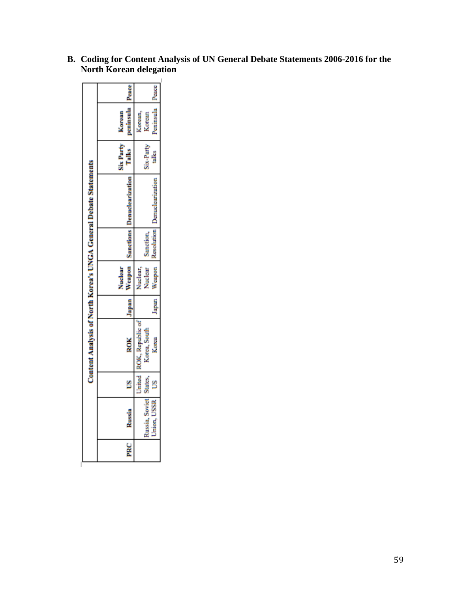|                                                                  | Korean           | Peace<br>peninsula      | Peninsula<br>Korean<br>Korean               |
|------------------------------------------------------------------|------------------|-------------------------|---------------------------------------------|
|                                                                  | <b>Six Party</b> | <b>Calles</b>           | Six-Party<br>á                              |
|                                                                  |                  |                         | Resolution Denuclearizat                    |
|                                                                  |                  | Weapon Sanctions Denuck | Sanction                                    |
|                                                                  | Nuclear          |                         | Weapon<br>Nuclear<br>Nuclear                |
|                                                                  |                  | lapan                   | lapan                                       |
| Content Analysis of North Korea's UNGA General Debate Statements |                  | ROK                     | <b>Kepublic</b> of<br>Corea, South<br>Korea |
|                                                                  |                  | š                       | United<br>States.<br>S                      |
|                                                                  |                  | Russi                   | SSR<br><b>Soviet</b>                        |
|                                                                  |                  | PRC                     |                                             |

**B. Coding for Content Analysis of UN General Debate Statements 2006-2016 for the North Korean delegation**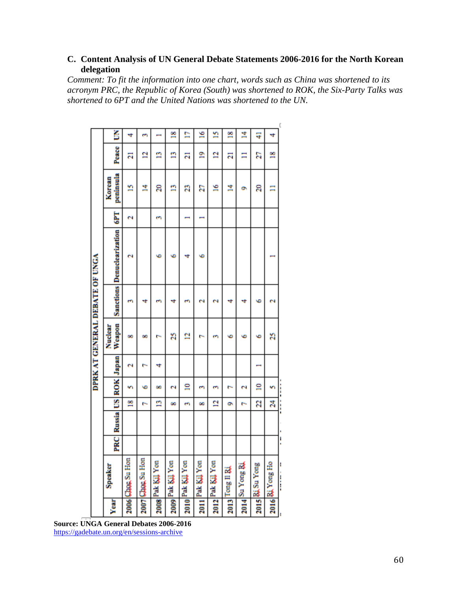## **C. Content Analysis of UN General Debate Statements 2006-2016 for the North Korean delegation**

*Comment: To fit the information into one chart, words such as China was shortened to its acronym PRC, the Republic of Korea (South) was shortened to ROK, the Six-Party Talks was shortened to 6PT and the United Nations was shortened to the UN.*

|                                | š                                 | 4                 | m                 | ī                | ≌                     | n                | ≌                | n                | ≌               | Ħ,             | Ŧ              | 4                     |  |
|--------------------------------|-----------------------------------|-------------------|-------------------|------------------|-----------------------|------------------|------------------|------------------|-----------------|----------------|----------------|-----------------------|--|
|                                | Peace                             | Ξ                 | ₫                 | n                | n                     | Ξ                | ደ                | 2                | Ξ               | Ξ              | Σ              | ≌                     |  |
|                                | peninsula<br>Korean               | n                 | Ä,                | ន                | n                     | g                | 2                | ≌                | Ż               | o,             | ສ              | -                     |  |
|                                | <b>GPT</b>                        | N                 |                   | m                |                       |                  |                  |                  |                 |                |                |                       |  |
|                                | <b>Sanctions Denuclearization</b> | ы                 |                   | ۰                | ٠                     | 4                | ٠                |                  |                 |                |                |                       |  |
|                                |                                   | m                 | 4                 | m                | 4                     | m                | N                | N                | 4               | 4              | ٠              | $\tilde{\phantom{a}}$ |  |
| DPRK AT GENERAL DEBATE OF UNGA | Weapon<br>Nuclear                 | œ                 | œ                 |                  | R                     | ā                |                  | m                | ٠               | ٠              | ٠              | a                     |  |
|                                | ROK Japan                         | N                 | r                 | 4                |                       |                  |                  |                  |                 |                |                |                       |  |
|                                |                                   | n                 | ٠                 | œ                | $\tilde{\phantom{a}}$ | ≘                | m                | m                | r,              | N              | ≘              | m                     |  |
|                                |                                   | ≌                 | r.                | n                | œ                     | m                | œ                | 2                | ۰               | r.             | g              | Ŕ                     |  |
|                                | <b>Russia</b> US                  |                   |                   |                  |                       |                  |                  |                  |                 |                |                |                       |  |
|                                | PRC                               |                   |                   |                  |                       |                  |                  |                  |                 |                |                |                       |  |
|                                | Speaker                           | 2006 Cage, Su Hon | 2007 Clage Su Hon | 2008 Pak Kil Yon | 2009 Pak Kil Yon      | 2010 Pak Kil Yon | 2011 Pak Kil Yon | 2012 Pak Kil Yon | 2013 Tong II BA | 2014 Su Yong & | 2015 RiSu Yong | 2016 Ri Yong Ho       |  |
|                                | Year                              |                   |                   |                  |                       |                  |                  |                  |                 |                |                |                       |  |

**Source: UNGA General Debates 2006-2016** <https://gadebate.un.org/en/sessions-archive>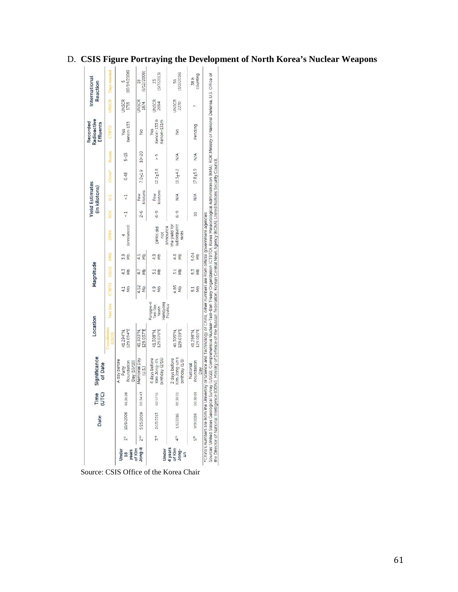|                                            |                 | Date                                | Time<br>(UTC) | Significance<br>of Date                                                                                                                                                                                                                                                                                                                                                                                                                                                       | Location                   |                                               |                       | Magnitude   |             |                                      |                | <b>Yield Estimates</b><br>(in kilotons) |              |               | Radioactive<br>Recorded<br><b>Effluents</b> |                      | International<br>Reaction     |
|--------------------------------------------|-----------------|-------------------------------------|---------------|-------------------------------------------------------------------------------------------------------------------------------------------------------------------------------------------------------------------------------------------------------------------------------------------------------------------------------------------------------------------------------------------------------------------------------------------------------------------------------|----------------------------|-----------------------------------------------|-----------------------|-------------|-------------|--------------------------------------|----------------|-----------------------------------------|--------------|---------------|---------------------------------------------|----------------------|-------------------------------|
|                                            |                 |                                     |               |                                                                                                                                                                                                                                                                                                                                                                                                                                                                               | Coordinates<br><b>NSGS</b> | est Site                                      | CTBTO                 | <b>USGS</b> | <b>KIMA</b> | DPRK                                 | <b>ROK</b>     | U.S.                                    | China*       | Russia        | CTBTO                                       | <b>UNSCR</b>         | Days needed                   |
| of Klm<br>years<br>Jnder<br>$\frac{18}{2}$ | $\frac{51}{2}$  | 10/9/2006                           | 01:35:28      | A day before<br>Foundation<br>Day (10/10)<br>Party                                                                                                                                                                                                                                                                                                                                                                                                                            | 129.094°E<br>41.294°N      |                                               | $\frac{1}{2}$         |             |             | (announced)                          |                | $\frac{1}{\sqrt{2}}$                    | 0.48         | $5-15$        | Xenon-133<br>Yes                            | <b>JNSCR</b><br>1718 | (10/14/2006)                  |
| long-l                                     | 2 <sup>nd</sup> | 5/25/2009                           | 00:54:43      | Memorial Day<br>(U.S.)                                                                                                                                                                                                                                                                                                                                                                                                                                                        | 129.037°E<br>41.303°N      |                                               | 4.52<br>gM            | 4.7<br>gM   | 4.5<br>δp   |                                      | $2 - 6$        | kilotons<br>Few                         | $7.0 + 1.9$  | $10 - 20$     | $\frac{1}{2}$                               | <b>JNSCR</b><br>1874 | (6/12/2009)<br>$\frac{8}{10}$ |
| Under                                      | 3 <sub>nd</sub> | 2/13/2013                           | 02:57:51      | birthday (2/16)<br>4 days before<br>Kim Jong-il's                                                                                                                                                                                                                                                                                                                                                                                                                             | 129.076°E<br>41.308°N      | Punggye-ri<br>Hamgyong<br>Test Site,<br>North | 4.9<br>$\frac{1}{2}$  |             | 4.9         | announce<br><b>DPRK</b> did<br>not   | $6 - 9$        | kilotons<br>Few                         | $12.2 + 3.8$ | $\frac{9}{4}$ | Xenon-1338<br>Kenon-131m<br>Yes             | <b>JNSCR</b><br>2094 | 3/7/2013)<br>23               |
| 4 years<br>of Klm<br>Jong-<br>S            | $4^{\text{th}}$ | 1/6/2016                            | 01:30:01      | Kim Jong-un's<br>2 days before<br>birthday (1/8)                                                                                                                                                                                                                                                                                                                                                                                                                              | 129.039°E<br>41.305°N      | Province                                      | 4.85<br>dN            |             | 4.8         | the yield for<br>subsequent<br>tests | $6 - 9$        | $\frac{1}{2}$                           | $11.3 + 4.2$ | $\frac{4}{2}$ | $\frac{1}{2}$                               | <b>UNSCR</b><br>2270 | 3/2/2016)<br>56               |
|                                            | 5 <sup>6</sup>  | 9/9/2016                            | 00:30:01      | Foundation<br>National<br>Day                                                                                                                                                                                                                                                                                                                                                                                                                                                 | 129.015°E<br>41.298°N      |                                               | δŊ<br>$\overline{51}$ | ξ           | 5.04<br>ξ   |                                      | $\overline{a}$ | N/A                                     | $17.8 + 5.9$ | $\frac{4}{2}$ | Pending                                     |                      | counting<br>38 &              |
|                                            |                 | the Director of National Intelliger |               | Sources: United States Geological Survey (USGS), Comprehensive Nuclear-Test-Ban Treaty Organization (CTBTO), Korea Meteorological Administration (KMA), ROK Ministry of National Defense, U.S. Office of<br>ice (ODNI), Ministry of Defence of the Russian Federation, Korean Central News Agency (KCNA), United Nations Security Council<br>*China's numbers are from the University of Science and Technology of China, other numbers are from official government agencies |                            |                                               |                       |             |             |                                      |                |                                         |              |               |                                             |                      |                               |

## D. **CSIS Figure Portraying the Development of North Korea's Nuclear Weapons**

Source: CSIS Office of the Korea Chair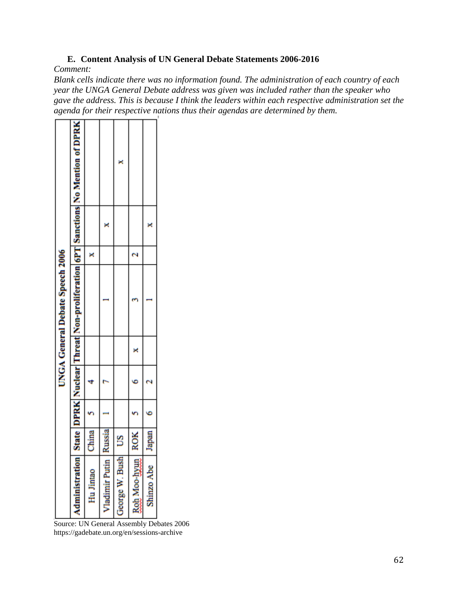## **E. Content Analysis of UN General Debate Statements 2006-2016**

*Comment:* 

*Blank cells indicate there was no information found. The administration of each country of each year the UNGA General Debate address was given was included rather than the speaker who gave the address. This is because I think the leaders within each respective administration set the agenda for their respective nations thus their agendas are determined by them.*

|                                 | State DPRK Nuclear Threat Non-proliferation 6PT Sanctions No Mention of DPRK |              |                    | ×             |                     |            |  |
|---------------------------------|------------------------------------------------------------------------------|--------------|--------------------|---------------|---------------------|------------|--|
|                                 |                                                                              |              |                    |               |                     |            |  |
|                                 |                                                                              |              |                    |               |                     |            |  |
| UNGA General Debate Speech 2006 |                                                                              |              |                    |               |                     |            |  |
|                                 |                                                                              |              |                    |               |                     |            |  |
|                                 |                                                                              |              |                    |               |                     |            |  |
|                                 |                                                                              |              |                    |               |                     |            |  |
|                                 |                                                                              | <b>China</b> | Russia             | S             | <b>ROK</b>          | Japan      |  |
|                                 | <b>Administration</b>                                                        | Hu Jintac    | <b>Tadimir Put</b> | corge W. Bush | <b>Rob Moo-hyur</b> | Shinzo Abe |  |

Source: UN General Assembly Debates 2006 https://gadebate.un.org/en/sessions-archive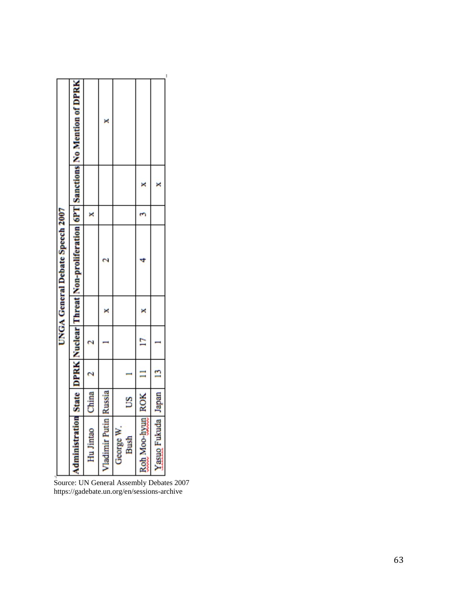|                             |            |   |   | UNGA General Debate Speech 2007 |   |   |                                                                                                           |
|-----------------------------|------------|---|---|---------------------------------|---|---|-----------------------------------------------------------------------------------------------------------|
|                             |            |   |   |                                 |   |   | Administration State   DPRK   Nuclear   Threat   Non-proliferation   6PT   Sanctions   No Mention of DPRK |
| Hu Jintao                   | China      |   |   |                                 | × |   |                                                                                                           |
| <b>Jadimir Putin Russia</b> |            |   |   |                                 |   |   | ×                                                                                                         |
| George W<br>Bush            | S          |   |   |                                 |   |   |                                                                                                           |
| Roh Moo-hyun                | <b>ROK</b> |   | Ē |                                 | ٣ |   |                                                                                                           |
| <b>Yasuo</b> Fukuda         | Japan      | n |   |                                 |   | × |                                                                                                           |
|                             |            |   |   |                                 |   |   |                                                                                                           |

Source: UN General Assembly Debates 2007 https://gadebate.un.org/en/sessions-archive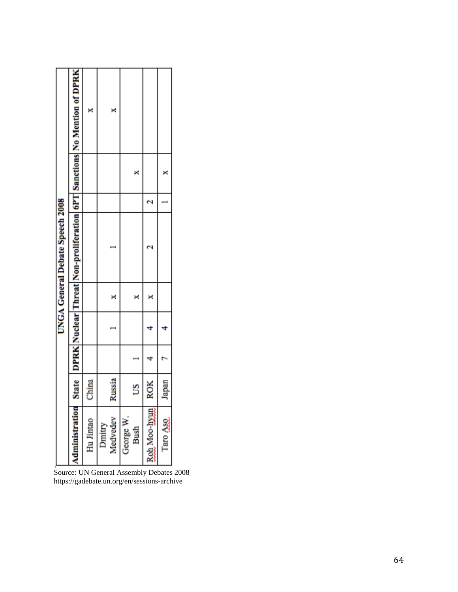|                                 | State   DPRK   Nuclear  Threat   Non-proliferation   6PT   Sanctions   No Mention of DPRK | ×         | ×                  |                   |              |          |
|---------------------------------|-------------------------------------------------------------------------------------------|-----------|--------------------|-------------------|--------------|----------|
|                                 |                                                                                           |           |                    |                   |              |          |
|                                 |                                                                                           |           |                    |                   |              |          |
| UNGA General Debate Speech 2008 |                                                                                           |           |                    |                   |              |          |
|                                 |                                                                                           |           |                    |                   |              |          |
|                                 |                                                                                           |           |                    |                   |              |          |
|                                 |                                                                                           |           |                    |                   |              |          |
|                                 |                                                                                           | China     | Russia             | S                 | <b>ROK</b>   | Japan    |
|                                 | Administration                                                                            | Hu Jintao | Dmitry<br>Medvedev | George W.<br>Bush | Roh Moo-hyun | Taro Aso |

Source: UN General Assembly Debates 2008 <https://gadebate.un.org/en/sessions-archive>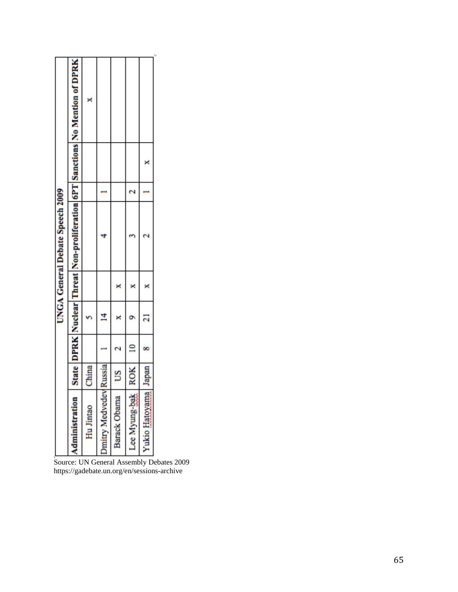|  | UNGA General Debate Speech 2009 |  |                                                                              |
|--|---------------------------------|--|------------------------------------------------------------------------------|
|  |                                 |  | State DPRK Nuclear Threat Non-proliferation 6PT Sanctions No Mention of DPRK |
|  |                                 |  | ×                                                                            |
|  |                                 |  |                                                                              |
|  |                                 |  |                                                                              |
|  |                                 |  |                                                                              |
|  |                                 |  |                                                                              |

Source: UN General Assembly Debates 2009 https://gadebate.un.org/en/sessions-archive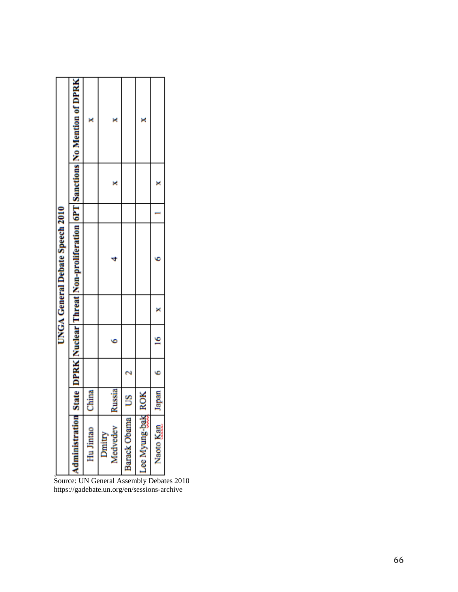| State   DPRK   Nuclear  Threat   Non-proliferation   6PT   Sanctions   No Mention of DPRK |
|-------------------------------------------------------------------------------------------|
|                                                                                           |
|                                                                                           |
|                                                                                           |
|                                                                                           |

Source: UN General Assembly Debates 2010 https://gadebate.un.org/en/sessions-archive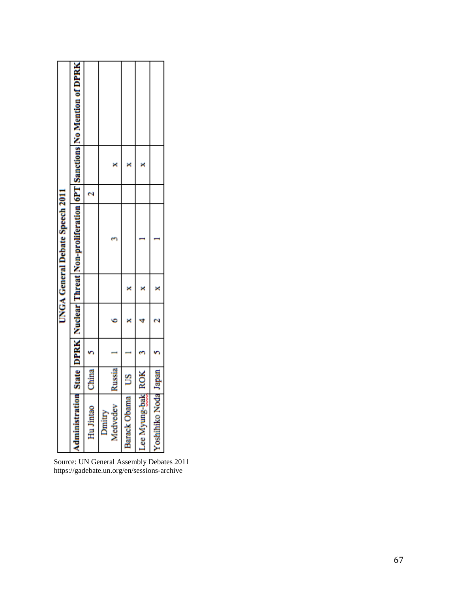|                                        | Administration State DPRK Nuclear Threat Non-proliferation 6PT Sanctions No Mention of DPRK |           |                    |                 |                   |                      |
|----------------------------------------|---------------------------------------------------------------------------------------------|-----------|--------------------|-----------------|-------------------|----------------------|
|                                        |                                                                                             |           |                    |                 |                   |                      |
|                                        |                                                                                             |           |                    |                 |                   |                      |
| <b>UNGA General Debate Speech 2011</b> |                                                                                             |           |                    |                 |                   |                      |
|                                        |                                                                                             |           |                    |                 |                   |                      |
|                                        |                                                                                             |           |                    |                 |                   |                      |
|                                        |                                                                                             |           |                    |                 |                   |                      |
|                                        |                                                                                             | China     | Russia             |                 |                   |                      |
|                                        |                                                                                             | Hu Jintao | Medvedev<br>Dmitry | Barack Obama US | Lee Myung-bak ROK | Yoshihiko Noda Japan |

Source: UN General Assembly Debates 2011 https://gadebate.un.org/en/sessions-archive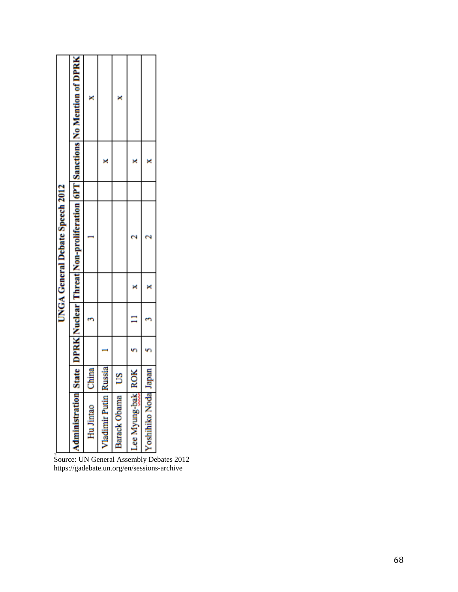| <b>Nadimir Putin</b><br>Administration<br>Barack Obama<br>Hu Jintao | <b>Russia</b><br>China<br>S |  | UNGA General Debate Speech 2012 |  | State   DPRK   Nuclear  Threat  Non-proliferation   6PT   Sanctions   No Mention of DPRK<br>× |
|---------------------------------------------------------------------|-----------------------------|--|---------------------------------|--|-----------------------------------------------------------------------------------------------|
| ee Myung-bak                                                        | <b>ROK</b>                  |  |                                 |  |                                                                                               |
| oshihiko Noda                                                       | Japan                       |  |                                 |  |                                                                                               |
|                                                                     |                             |  |                                 |  |                                                                                               |

Source: UN General Assembly Debates 2012 https://gadebate.un.org/en/sessions-archive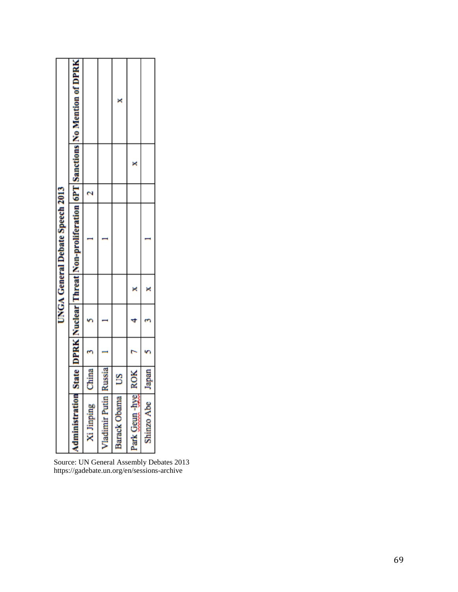|                                  |               |  | UNGA General Debate Speech 2013 |  |                                                                                            |
|----------------------------------|---------------|--|---------------------------------|--|--------------------------------------------------------------------------------------------|
| dministration                    |               |  |                                 |  | State   DPRK   Nuclear   Threat   Non-proliferation   6PT   Sanctions   No Mention of DPRK |
| Xi Jinping                       | <b>Jhina</b>  |  |                                 |  |                                                                                            |
|                                  | <b>Kussia</b> |  |                                 |  |                                                                                            |
| Vladimir Putin  <br>Barack Obama | S             |  |                                 |  |                                                                                            |
| ark Geun-hye                     | <b>ROK</b>    |  |                                 |  |                                                                                            |
| Shinzo Abe                       | Japan         |  |                                 |  |                                                                                            |

Source: UN General Assembly Debates 2013 https://gadebate.un.org/en/sessions-archive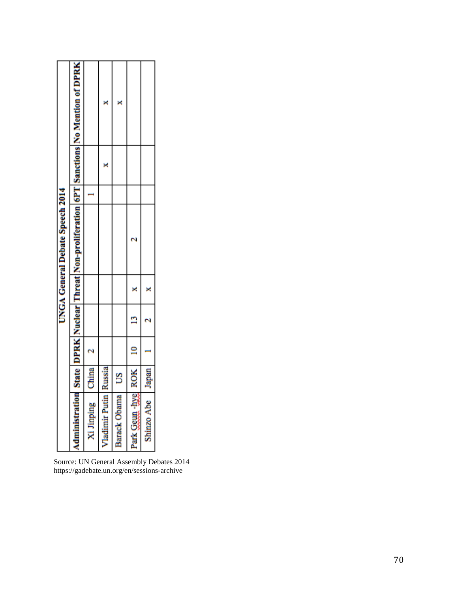|                                 | Administration State DPRK Nuclear Threat Non-proliferation 6PT Sanctions No Mention of DPRK |            | z                       | ×            |                        |                  |
|---------------------------------|---------------------------------------------------------------------------------------------|------------|-------------------------|--------------|------------------------|------------------|
| UNGA General Debate Speech 2014 |                                                                                             |            |                         |              |                        |                  |
|                                 |                                                                                             |            |                         |              |                        |                  |
|                                 |                                                                                             |            |                         |              |                        |                  |
|                                 |                                                                                             |            |                         |              |                        |                  |
|                                 |                                                                                             |            |                         |              |                        |                  |
|                                 |                                                                                             |            |                         |              |                        |                  |
|                                 |                                                                                             | China      |                         | S            |                        |                  |
|                                 |                                                                                             | Xi Jinping | Vladimir Putin   Russia | Barack Obama | Park Geun -byel ROK 10 | Shinzo Abe Japan |

Source: UN General Assembly Debates 2014 <https://gadebate.un.org/en/sessions-archive>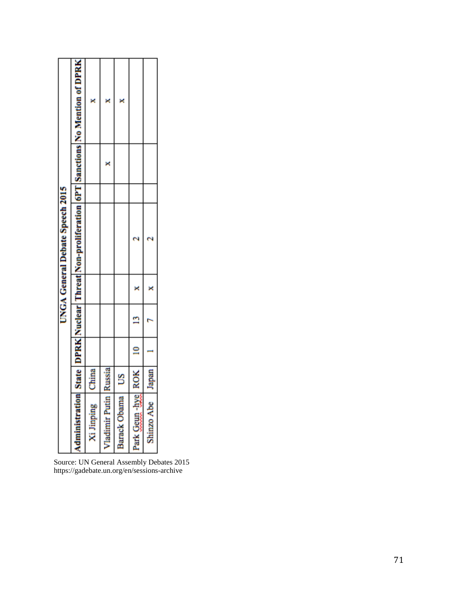Source: UN General Assembly Debates 2015 <https://gadebate.un.org/en/sessions-archive>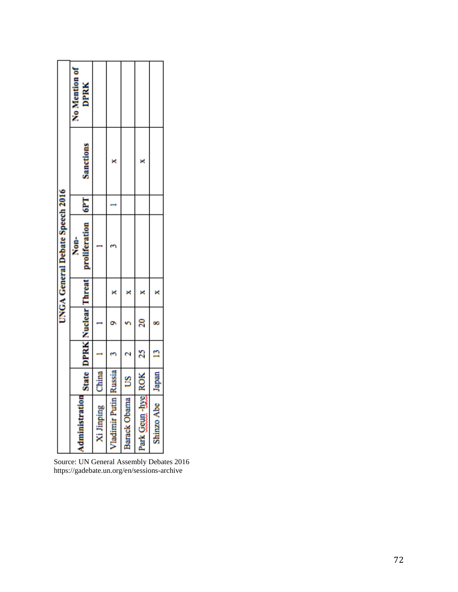|                                 | No Mention of<br><b>DPRK</b>                        |            |                       |                   |                    |                  |
|---------------------------------|-----------------------------------------------------|------------|-----------------------|-------------------|--------------------|------------------|
|                                 | <b>Sanctions</b>                                    |            |                       |                   |                    |                  |
|                                 |                                                     |            |                       |                   |                    |                  |
| UNGA General Debate Speech 2016 | State DPRK Nuclear Threat proliferation 6PT<br>Non- |            |                       |                   |                    |                  |
|                                 |                                                     |            |                       |                   |                    |                  |
|                                 |                                                     |            |                       |                   | ន                  |                  |
|                                 |                                                     |            |                       |                   | $^{25}$            | $\mathbf{L}$     |
|                                 |                                                     | China      |                       |                   |                    |                  |
|                                 | Administration                                      | Xi Jinping | Vladimir Putin Russia | Barack Obama   US | Park Geun-hyel ROK | Shinzo Abe Japan |

Source: UN General Assembly Debates 2016 <https://gadebate.un.org/en/sessions-archive>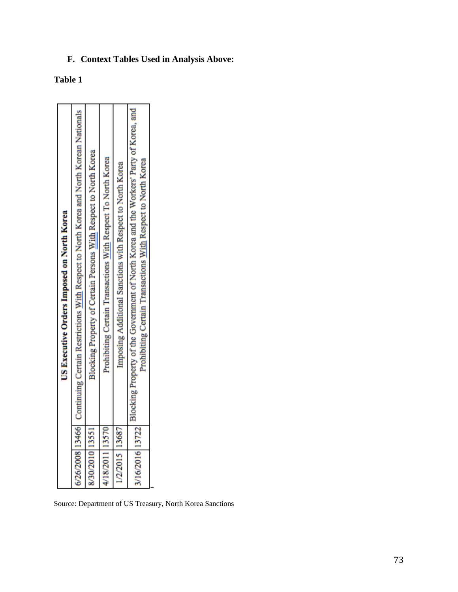## **F. Context Tables Used in Analysis Above:**

## **Table 1**

|                 | US Executive Orders Imposed on North Korea                                                                                                                              |
|-----------------|-------------------------------------------------------------------------------------------------------------------------------------------------------------------------|
|                 | 6/26/2008 13466 Continuing Certain Restrictions With Respect to North Korea and North Korean Nationals                                                                  |
| 8/30/2010 1355  | Blocking Property of Certain Persons With Respect to North Korea                                                                                                        |
| 4/18/2011 13570 | Prohibiting Certain Transactions With Respect To North Korea                                                                                                            |
| 1/2/2015 13687  | Imposing Additional Sanctions with Respect to North Korea                                                                                                               |
|                 | 3/16/2016 13722 Blocking Property of the Government of North Korea and the Workers' Party of Korea, and<br>Prohibiting Certain Transactions With Respect to North Korea |
|                 |                                                                                                                                                                         |

Source: Department of US Treasury, North Korea Sanctions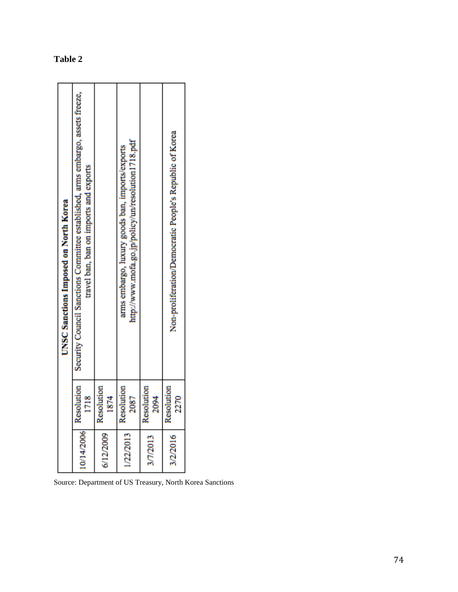| <b>UNSC Sanctions Imposed on North Korea</b> | Security Council Sanctions Committee established, arms embargo, assets freeze,<br>travel ban, ban on imports and exports |                   | http://www.mofa.go.jp/policy/un/resolution1718.pdf<br>arms embargo, luxury goods ban, imports/exports |                   | Non-proliferation/Democratic People's Republic of Korea |
|----------------------------------------------|--------------------------------------------------------------------------------------------------------------------------|-------------------|-------------------------------------------------------------------------------------------------------|-------------------|---------------------------------------------------------|
|                                              | Resolution<br>1718                                                                                                       | esolution<br>1874 | Resolution<br>2087                                                                                    | esolution<br>2094 | Resolution<br>2270                                      |
|                                              | 10/14/2006                                                                                                               | 6/12/2009         | 1/22/2013                                                                                             | 3/7/2013          | 3/2/2016                                                |

Source: Department of US Treasury, North Korea Sanctions

## **Table 2**